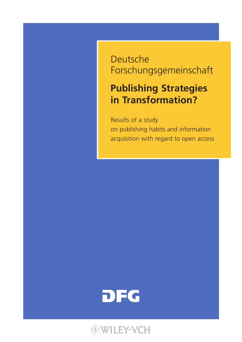# Deutsche Forschungsgemeinschaft

# **Publishing Strategies in Transformation?**

Results of a study on publishing habits and information acquisition with regard to open access



# **WILEY-VCH**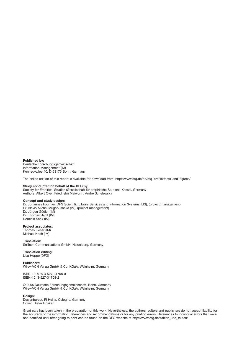**Published by:** Deutsche Forschungsgemeinschaft Information Management (IM) Kennedyallee 40, D-53175 Bonn, Germany

The online edition of this report is available for download from: http://www.dfg.de/en/dfg\_profile/facts\_and\_figures/

#### **Study conducted on behalf of the DFG by:**

Society for Empirical Studies (Gesellschaft für empirische Studien), Kassel, Germany Authors: Albert Over, Friedhelm Maiworm, André Schelewsky

#### **Concept and study design:**

Dr. Johannes Fournier, DFG Scientific Library Services and Information Systems (LIS), (project management) Dr. Alexis-Michel Mugabushaka (IM), (project management) Dr. Jürgen Güdler (IM) Dr. Thomas Rahlf (IM) Dominik Sack (IM)

**Project associates:** Thomas Lieser (IM) Michael Koch (IM)

**Translation:**  SciTech Communications GmbH, Heidelberg, Germany

#### **Translation editing:**  Lisa Hoppe (DFG)

#### **Publishers:**

Wiley-VCH Verlag GmbH & Co. KGaA, Weinheim, Germany

ISBN-13: 978-3-527-31708-0 ISBN-10: 3-527-31708-2

© 2005 Deutsche Forschungsgemeinschaft, Bonn, Germany Wiley-VCH Verlag GmbH & Co. KGaA, Weinheim, Germany

#### **Design:**

Designbureau Pi Heinz, Cologne, Germany Cover: Dieter Hüsken

Great care has been taken in the preparation of this work. Nevertheless, the authors, editors and publishers do not accept liability for the accuracy of the information, references and recommendations or for any printing errors. References to individual errors that were not identified until after going to print can be found on the DFG website at http://www.dfg.de/zahlen\_und\_fakten/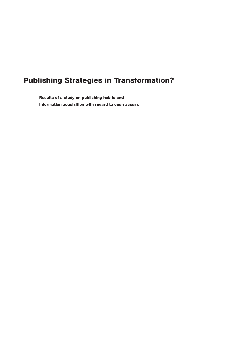## **Publishing Strategies in Transformation?**

**Results of a study on publishing habits and information acquisition with regard to open access**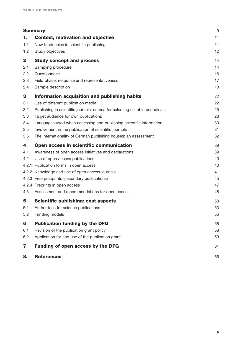|              | <b>Summary</b>                                                                 | 9  |
|--------------|--------------------------------------------------------------------------------|----|
| 1.           | <b>Context, motivation and objective</b>                                       | 11 |
| 1.1          | New tendencies in scientific publishing                                        | 11 |
| 1.2          | Study objectives                                                               | 12 |
| $\mathbf{2}$ | <b>Study concept and process</b>                                               | 14 |
| 2.1          | Sampling procedure                                                             | 14 |
| 2.2          | Questionnaire                                                                  | 16 |
| 2.3          | Field phase, response and representativeness                                   | 17 |
| 2.4          | Sample description                                                             | 18 |
| 3            | Information acquisition and publishing habits                                  | 22 |
| 3.1          | Use of different publication media                                             | 22 |
| 3.2          | Publishing in scientific journals: criteria for selecting suitable periodicals | 25 |
| 3.3          | Target audience for own publications                                           | 28 |
| 3.4          | Languages used when accessing and publishing scientific information            | 30 |
| 3.5          | Involvement in the publication of scientific journals                          | 31 |
| 3.6          | The internationality of German publishing houses: an assessment                | 32 |
| 4            | Open access in scientific communication                                        | 39 |
| 4.1          | Awareness of open access initiatives and declarations                          | 39 |
| 4.2          | Use of open access publications                                                | 40 |
|              | 4.2.1 Publication forms in open access                                         | 40 |
|              | 4.2.2 Knowledge and use of open access journals                                | 41 |
|              | 4.2.3 Free postprints (secondary publications)                                 | 45 |
|              | 4.2.4 Preprints in open access                                                 | 47 |
| 4.3          | Assessment and recommendations for open access                                 | 48 |
| 5            | <b>Scientific publishing: cost aspects</b>                                     | 53 |
| 5.1          | Author fees for science publications                                           | 53 |
| 5.2          | Funding models                                                                 | 56 |
| 6            | <b>Publication funding by the DFG</b>                                          | 58 |
| 6.1          | Revision of the publication grant policy                                       | 58 |
| 6.2          | Application for and use of the publication grant                               | 59 |
| 7            | Funding of open access by the DFG                                              | 61 |
| 8.           | <b>References</b>                                                              | 65 |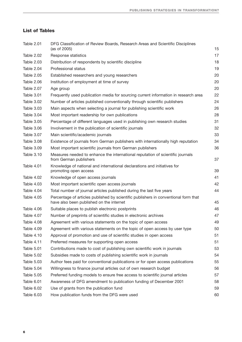### **List of Tables**

| Table 2.01 | DFG Classification of Review Boards, Research Areas and Scientific Disciplines<br>(as of 2005)                                  | 15 |
|------------|---------------------------------------------------------------------------------------------------------------------------------|----|
| Table 2.02 | Response statistics                                                                                                             | 17 |
| Table 2.03 | Distribution of respondents by scientific discipline                                                                            | 18 |
| Table 2.04 | Professional status                                                                                                             | 19 |
| Table 2.05 | Established researchers and young researchers                                                                                   | 20 |
| Table 2.06 | Institution of employment at time of survey                                                                                     | 20 |
| Table 2.07 | Age group                                                                                                                       | 20 |
| Table 3.01 | Frequently used publication media for sourcing current information in research area                                             | 22 |
| Table 3.02 | Number of articles published conventionally through scientific publishers                                                       | 24 |
| Table 3.03 | Main aspects when selecting a journal for publishing scientific work                                                            | 26 |
| Table 3.04 | Most important readership for own publications                                                                                  | 28 |
| Table 3.05 | Percentage of different languages used in publishing own research studies                                                       | 31 |
| Table 3.06 | Involvement in the publication of scientific journals                                                                           | 32 |
| Table 3.07 | Main scientific/academic journals                                                                                               | 33 |
| Table 3.08 | Existence of journals from German publishers with internationally high reputation                                               | 34 |
| Table 3.09 | Most important scientific journals from German publishers                                                                       | 36 |
| Table 3.10 | Measures needed to enhance the international reputation of scientific journals<br>from German publishers                        | 37 |
| Table 4.01 | Knowledge of national and international declarations and initiatives for<br>promoting open access                               | 39 |
| Table 4.02 | Knowledge of open access journals                                                                                               | 41 |
| Table 4.03 | Most important scientific open access journals                                                                                  | 42 |
| Table 4.04 | Total number of journal articles published during the last five years                                                           | 44 |
| Table 4.05 | Percentage of articles published by scientific publishers in conventional form that<br>have also been published on the internet | 45 |
| Table 4.06 | Suitable places to publish electronic postprints                                                                                | 46 |
| Table 4.07 | Number of preprints of scientific studies in electronic archives                                                                | 47 |
| Table 4.08 | Agreement with various statements on the topic of open access                                                                   | 49 |
| Table 4.09 | Agreement with various statements on the topic of open access by user type                                                      | 50 |
| Table 4.10 | Approval of promotion and use of scientific studies in open access                                                              | 51 |
| Table 4.11 | Preferred measures for supporting open access                                                                                   | 51 |
| Table 5.01 | Contributions made to cost of publishing own scientific work in journals                                                        | 53 |
| Table 5.02 | Subsidies made to costs of publishing scientific work in journals                                                               | 54 |
| Table 5.03 | Author fees paid for conventional publications or for open access publications                                                  | 55 |
| Table 5.04 | Willingness to finance journal articles out of own research budget                                                              | 56 |
| Table 5.05 | Preferred funding models to ensure free access to scientific journal articles                                                   | 57 |
| Table 6.01 | Awareness of DFG amendment to publication funding of December 2001                                                              | 58 |
| Table 6.02 | Use of grants from the publication fund                                                                                         | 59 |
| Table 6.03 | How publication funds from the DFG were used                                                                                    | 60 |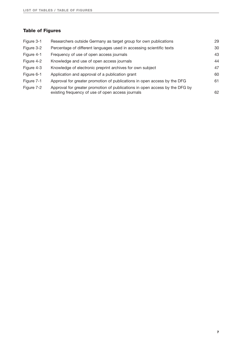#### **Table of Figures**

| Figure 3-1 | Researchers outside Germany as target group for own publications                                                                 | 29 |
|------------|----------------------------------------------------------------------------------------------------------------------------------|----|
| Figure 3-2 | Percentage of different languages used in accessing scientific texts                                                             | 30 |
| Figure 4-1 | Frequency of use of open access journals                                                                                         | 43 |
| Figure 4-2 | Knowledge and use of open access journals                                                                                        | 44 |
| Figure 4-3 | Knowledge of electronic preprint archives for own subject                                                                        | 47 |
| Figure 6-1 | Application and approval of a publication grant                                                                                  | 60 |
| Figure 7-1 | Approval for greater promotion of publications in open access by the DFG                                                         | 61 |
| Figure 7-2 | Approval for greater promotion of publications in open access by the DFG by<br>existing frequency of use of open access journals | 62 |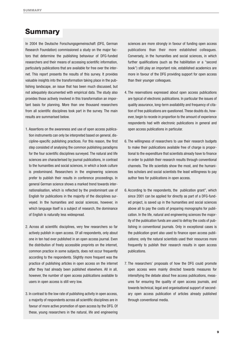## **Summary**

In 2004 the Deutsche Forschungsgemeinschaft (DFG, German Research Foundation) commissioned a study on the major factors that determine the publishing behaviour of DFG-funded researchers and their means of accessing scientific information, particularly publications that are available for free over the internet. This report presents the results of this survey. It provides valuable insights into the transformation taking place in the publishing landscape, an issue that has been much discussed, but not adequately documented with empirical data. The study also provides those actively involved in this transformation an important basis for planning. More than one thousand researchers from all scientific disciplines took part in the survey. The main results are summarised below.

- 1. Assertions on the awareness and use of open access publication instruments can only be interpreted based on general, discipline-specific publishing practices. For this reason, the first step consisted of analysing the common publishing paradigms for the four scientific disciplines surveyed. The natural and life sciences are characterised by journal publications, in contrast to the humanities and social sciences, in which a book culture is predominand. Researchers in the engineering sciences prefer to publish their results in conference proceedings. In general German science shows a marked trend towards internationalisation, which is reflected by the predominant use of English for publications in the majority of the disciplines surveyed. In the humanities and social sciences, however, in which language itself is a subject of research, the dominance of English is naturally less widespread.
- 2. Across all scientific disciplines, very few researchers so far actively publish in open access. Of all respondents, only about one in ten had ever published in an open access journal. Even the distribution of freely accessible preprints on the internet, common practice in some subjects, does not occur frequently according to the respondents. Slightly more frequent was the practice of publishing articles in open access on the internet after they had already been published elsewhere. All in all, however, the number of open access publications available to users in open access is still very low.
- 3. In contrast to the low rate of publishing activity in open access, a majority of respondents across all scientific disciplines are in favour of more active promotion of open access by the DFG. Of these, young researchers in the natural, life and engineering

sciences are more strongly in favour of funding open access publications than their more established colleagues. Conversely, in the humanities and social sciences, in which further qualifications (such as the habilitation or a "second book") still play an important role, established academics are more in favour of the DFG providing support for open access than their younger colleagues.

- 4. The reservations expressed about open access publications are typical of electronic publications. In particular the issues of quality assurance, long-term availability and frequency of citation of free publications are questioned. These doubts do, however, begin to recede in proportion to the amount of experience respondents had with electronic publications in general and open access publications in particular.
- 6. The willingness of researchers to use their research budgets to make their publications available free of charge is proportional to the expenditure that scientists already have to finance in order to publish their research results through conventional channels. The life scientists show the most, and the humanities scholars and social scientists the least willingness to pay author fees for publications in open access.
- 6. According to the respondents, the publication grant", which since 2001 can be applied for directly as part of a DFG-funded project, is saved up in the humanities and social sciences above all to pay the costs of preparing monographs for publication. In the life, natural and engineering sciences the majority of the publication funds are used to defray the costs of publishing in conventional journals. Only in exceptional cases is the publication grant also used to finance open access publications; only the natural scientists used their resources more frequently to publish their research results in open access publications.
- 7. The researchers' proposals of how the DFG could promote open access were mainly directed towards measures for intensifying the debate about free access publications, measures for ensuring the quality of open access journals, and towards technical, legal and organisational support of secondary open access publication of articles already published through conventional media.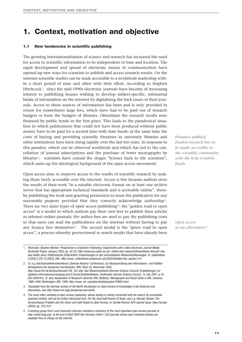### **1. Context, motivation and objective**

#### **1.1 New tendencies in scientific publishing**

The growing internationalisation of science and research has increased the need for access to scientific information to be independent of time and location. The rapid development and spread of electronic means of communication have opened up new ways for scientists to publish and access research results. On the internet scientific studies can be made accessible to a worldwide readership within a short period of time and often with little effort. According to Stephen Hitchcock<sup>1</sup>, since the mid-1990s electronic journals have become of increasing interest to publishing houses wishing to develop subject-specific, substantial banks of information on the internet by digitalising the back issues of their journals. Access to these sources of information has been and is only provided in return for (sometimes) large fees, which have had to be paid out of research budgets or from the budgets of libraries. Oftentimes the research results were financed by public funds in the first place. This leads to the paradoxical situation in which publications that could not have been produced without public money have to be paid for a second time with state funds; at the same time the costs of buying and providing scientific literature in university libraries and other institutions have been rising rapidly over the last ten years. In response to this paradox, which can be observed worldwide and which has led to the cancellation of journal subscriptions and the purchase of fewer monographs by libraries <sup>2</sup> , scientists have coined the slogan "Science back to the scientists", which sums up the ideological background of the open access movement.

Open access aims to improve access to the results of scientific research by making them freely accessible over the internet. Access is free because authors store the results of their work "in a suitable electronic format on at least one archive server that has appropriate technical standards and is accessible online", thereby publishing the work and granting permission to reuse the publication for any reasonable purpose provided that they correctly acknowledge authorship<sup>3</sup>. There are two main types of open access publishing<sup>4</sup>: the "golden road to open access" is a model in which authors pay their own fees to publish their articles in refereed online journals; the author fees are used to pay the publishing costs so that users can read the publications on the internet without having to pay any licence fees themselves<sup>5</sup>. The second model is the "green road to open access", a process whereby peerreviewed re search results that have already been

*Paradox: publicly funded research has to be made accessible to the scientific community with the help of public funds*

*Open access as an alternative?*

*1. Hitchcock, Stephen Meirion: Perspectives in Electronic Publishing: Experiments with a New Electronic Journal Model. Doctorate Thesis, January 2002, pp. 42-53; http://www.ecs.soton.ac.uk/~sh94r/Jnls-research/thesis/thesis-text.pdf. See also Keller, Alice: Elektronische Zeitschriften: Entwicklungen in den verschiedenen Wissenschaftszweigen. in: zeitenblicke 2/2003,2 [22.10.2003], URL: http://www. zeitenblicke.historicum.net/2003/02keller.htm, section 8 ff.*

*2. Cf. e.g. Hochschulrektorenkonferenz (German Rectors' Conference): Zur Neuausrichtung des Informations- und Publikationssystems der deutschen Hochschulen. HRK: Bonn 05. November 2002. http://www.hrk.de/de/beschluesse/109\_247.php. See Wissenschaftsrat (German Science Council): Empfehlungen zur digitalen Informationsversorgung durch Hochschulbibliotheken. Greifswald: German Science Council, 13 July 2001, p.16. (Drs.4935/01). Cf. also: Association of Research Libraries: ARL Statistics. Monographs and Serial Costs in ARL Libraries. 1986-1999. Washington: ARL 1999. http://www. arl. org/stats/arlstat/graphs/1999t2.html.*

- *3. Translated from the German version of the Berlin Declaration on Open Access to Knowledge in the Sciences and Humanities, see http://www.zim.mpg.de/openaccess-berlin*
- *4. The many other varieties of open access publishing, whose testing is mainly connected with the search for practicable business models, will not be further discussed here. For the most well known of these, see e.g. Harnad, Stevan: The Access/Impact Problem and the Green and Gold Roads to Open Access. in: Serials Review 30/4 special issue: Open Access (2004), pp. 310-314.*
- *5. A working group from Lund University Libraries maintains a directory of the most important open access journals at http://www.doaj.org/; at the end of April 2005 this directory listed 1,532 journals whose peer-reviewed articles are available free of charge on the Internet.*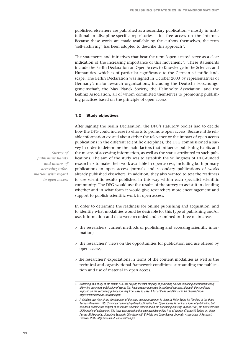published elsewhere are published as a secondary publication – mostly in institutional or discipline-specific repositories – for free access on the internet. Because these works are made available by the authors themselves, the term "self-archiving" has been adopted to describe this approach<sup>1</sup>.

The statements and initiatives that bear the term "open access" serve as a clear indication of the increasing importance of this movement<sup>2</sup>. These statements include the Berlin Declaration on Open Access to Knowledge in the Sciences and Humanities, which is of particular significance to the German scientific landscape. The Berlin Declaration was signed in October 2003 by representatives of Germany's major research organisations, including the Deutsche Forschungsgemeinschaft, the Max Planck Society, the Helmholtz Association, and the Leibniz Association, all of whom committed themselves to promoting publishing practices based on the principle of open access.

#### **1.2 Study objectives**

After signing the Berlin Declaration, the DFG's statutory bodies had to decide how the DFG could increase its efforts to promote open access. Because little reliable information existed about either the relevance or the impact of open access publications in the different scientific disciplines, the DFG commissioned a survey in order to determine the main factors that influence publishing habits and the means of accessing information, as well as the status attributed to such publications. The aim of the study was to establish the willingness of DFG-funded researchers to make their work available in open access, including both primary publications in open access journals and secondary publications of works already published elsewhere. In addition, they also wanted to test the readiness to use scientific results published in this way within each specialist scientific community. The DFG would use the results of the survey to assist it in deciding whether and in what form it would give researchers more encouragement and support to publish scientific work in open access.

In order to determine the readiness for online publishing and acquisition, and to identify what modalities would be desirable for this type of publishing and/or use, information and data were recorded and examined in three main areas:

- > the researchers' current methods of publishing and accessing scientific information;
- > the researchers' views on the opportunities for publication and use offered by open access;
- > the researchers' expectations in terms of the content modalities as well as the technical and organisational framework conditions surrounding the publication and use of material in open access.

*Survey of publishing habits and means of accessing information with regard to open access*

*<sup>1.</sup> According to a study of the British SHERPA project, the vast majority of publishing houses (including international ones) allow the secondary publication of works that have already appeared in published journals, although the conditions imposed on the secondary publication vary from case to case. A list of these conditions can be obtained from http://www.sherpa.ac.uk/romeo.php.*

*<sup>2.</sup> A detailed overview of the development of the open access movement is given by Peter Suber in: Timeline of the Open Access Movement. http://www.earham.edu/~peters/fos/timeline.htm. Open access is not just a form of publication, but has itself become the subject of an intense scientific debate about the publishing industry. In April 2005, the first extensive bibliography of subjects on this topic was issued and is also available online free of charge. Charles W. Bailey, Jr.: Open Access Bibliography. Liberating Scholarly Literature with E-Prints and Open Access Journals. Association of Research Libraries 2005. http://info.lib.uh.edu/cwb/oab.pdf.*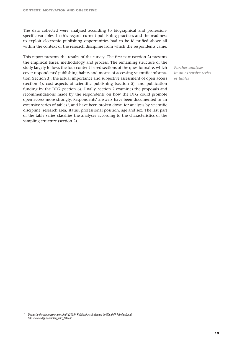The data collected were analysed according to biographical and professionspecific variables. In this regard, current publishing practices and the readiness to exploit electronic publishing opportunities had to be identified above all within the context of the research discipline from which the respondents came.

This report presents the results of the survey. The first part (section 2) presents the empirical bases, methodology and process. The remaining structure of the study largely follows the four content-based sections of the questionnaire, which cover respondents' publishing habits and means of accessing scientific information (section 3), the actual importance and subjective assessment of open access (section 4), cost aspects of scientific publishing (section 5), and publication funding by the DFG (section 6). Finally, section 7 examines the proposals and recommendations made by the respondents on how the DFG could promote open access more strongly. Respondents' answers have been documented in an extensive series of tables<sup>1</sup>, and have been broken down for analysis by scientific discipline, research area, status, professional position, age and sex. The last part of the table series classifies the analyses according to the characteristics of the sampling structure (section 2).

*Further analyses in an extensive series of tables*

*<sup>1.</sup> Deutsche Forschungsgemeinschaft (2005). Publikationsstrategien im Wandel? Tabellenband. http://www.dfg.de/zahlen\_und\_fakten/*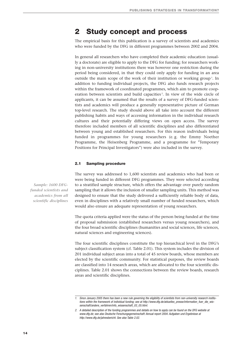## **2 Study concept and process**

The empirical basis for this publication is a survey of scientists and academics who were funded by the DFG in different programmes between 2002 and 2004.

In general all researchers who have completed their academic education (usually a doctorate) are eligible to apply to the DFG for funding; for researchers working in non-university institutions there was however one restriction during the period being considered, in that they could only apply for funding in an area outside the main scope of the work of their institution or working group<sup>1</sup>. In addition to funding individual projects, the DFG also funds research projects within the framework of coordinated programmes, which aim to promote cooperation between scientists and build capacities<sup>2</sup>. In view of the wide circle of applicants, it can be assumed that the results of a survey of DFG-funded scientists and academics will produce a generally representative picture of German top-level research. The study should above all take into account the different publishing habits and ways of accessing information in the individual research cultures and their potentially differing views on open access. The survey therefore included members of all scientific disciplines and also differentiated between young and established researchers. For this reason individuals being funded in programmes for young researchers (e. g. the Emmy Noether Programme, the Heisenberg Programme, and a programme for "Temporary Positions for Principal Investigators") were also included in the survey.

#### **2.1 Sampling procedure**

The survey was addressed to 1,600 scientists and academics who had been or were being funded in different DFG programmes. They were selected according to a stratified sample structure, which offers the advantage over purely random sampling that it allows the inclusion of smaller sampling units. This method was designed to ensure that the study delivered a sufficiently reliable body of data, even in disciplines with a relatively small number of funded researchers, which would also ensure an adequate representation of young researchers.

The quota criteria applied were the status of the person being funded at the time of proposal submission (established researchers versus young researchers), and the four broad scientific disciplines (humanities and social sciences, life sciences, natural sciences and engineering sciences).

The four scientific disciplines constitute the top hierarchical level in the DFG's subject classification system (cf. Table 2.01). This system includes the division of 201 individual subject areas into a total of 45 review boards, whose members are elected by the scientific community. For statistical purposes, the review boards are classified into 14 research areas, which are allocated to the four scientific disciplines. Table 2.01 shows the connections between the review boards, research areas and scientific disciplines.

*Sample: 1600 DFGfunded scientists and academics from all scientific disciplines*

*<sup>1.</sup> Since January 2005 there has been a new rule governing the eligibility of scientists from non-university research institutions within the framework of individual funding; see at http://www.dfg.de/aktuelles\_presse/information\_fuer\_die\_wissenschaft/andere\_verfahren/info\_wissenschaft\_03\_05.html.*

*<sup>2.</sup> A detailed description of the funding programmes and details on how to apply can be found on the DFG website at www.dfg.de; see also Deutsche Forschungsgemeinschaft: Annual report 2004. Aufgaben und Ergebnisse at http://www.dfg.de/jahresbericht. See also Table 2.02.*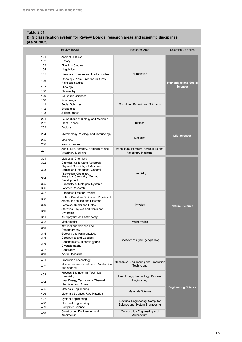| <b>Table 2.01:</b><br>(As of 2005)     | DFG classification system for Review Boards, research areas and scientific disciplines                                                                                                                                         |                                                                       |                                                 |  |
|----------------------------------------|--------------------------------------------------------------------------------------------------------------------------------------------------------------------------------------------------------------------------------|-----------------------------------------------------------------------|-------------------------------------------------|--|
|                                        | <b>Review Board</b>                                                                                                                                                                                                            | <b>Research Area</b>                                                  | <b>Scientific Discipline</b>                    |  |
| 101<br>102<br>103<br>104<br>105<br>106 | <b>Ancient Cultures</b><br>History<br><b>Fine Arts Studies</b><br>Linguistics<br>Literature, Theatre and Media Studies<br>Ethnology, Non-European Cultures,                                                                    | <b>Humanities</b>                                                     |                                                 |  |
| 107<br>108                             | <b>Religious Studies</b><br>Theology<br>Philosophy                                                                                                                                                                             |                                                                       | <b>Humanities and Social</b><br><b>Sciences</b> |  |
| 109<br>110<br>111<br>112<br>113        | <b>Education Sciences</b><br>Psychology<br>Social Sciences<br>Economics<br>Jurisprudence                                                                                                                                       | Social and Behavioural Sciences                                       |                                                 |  |
| 201<br>202<br>203                      | Foundations of Biology and Medicine<br><b>Plant Science</b><br>Zoology                                                                                                                                                         | Biology                                                               |                                                 |  |
| 204<br>205<br>206                      | Microbiology, Virology and Immunology<br>Medicine<br>Neurosciences                                                                                                                                                             | Medicine                                                              | <b>Life Sciences</b>                            |  |
| 207                                    | Agriculture, Forestry, Horticulture and<br>Veterinary Medicine                                                                                                                                                                 | Agriculture, Forestry, Horticulture and<br><b>Veterinary Medicine</b> |                                                 |  |
| 301<br>302                             | <b>Molecular Chemistry</b><br>Chemical Solid State Research<br>Physical Chemistry of Molecules,                                                                                                                                |                                                                       |                                                 |  |
| 303<br>304<br>305<br>306               | Liquids and Interfaces, General<br><b>Theoretical Chemistrv</b><br>Analytical Chemistry, Method<br>Development<br>Chemistry of Biological Systems<br>Polymer Research                                                          | Chemistry                                                             |                                                 |  |
| 307<br>308<br>309<br>310<br>311        | <b>Condensed Matter Physics</b><br>Optics, Quantum Optics and Physics of<br>Atoms, Molecules and Plasmas<br>Particles. Nuclei and Fields<br><b>Statistical Physics and Nonlinear</b><br>Dynamics<br>Astrophysics and Astronomy | Physics                                                               | <b>Natural Science</b>                          |  |
| 312                                    | <b>Mathematics</b>                                                                                                                                                                                                             | <b>Mathematics</b>                                                    |                                                 |  |
| 313<br>314<br>315<br>316<br>317<br>318 | Atmospheric Science and<br>Oceanography<br>Geology and Palaeontology<br>Geophysics and Geodesy<br>Geochemistry, Mineralogy and<br>Crystallography<br>Geography<br>Water Research                                               | Geosciences (incl. geography)                                         |                                                 |  |
| 401<br>402                             | <b>Production Technology</b><br>Mechanics and Constructive Mechanical<br>Engineering                                                                                                                                           | Mechanical Engineering and Production<br>Technology                   |                                                 |  |
| 403                                    | Process Engineering, Technical<br>Chemistry<br>Heat Energy Technology, Thermal                                                                                                                                                 | Heat Energy Technology/ Process<br>Engineering                        |                                                 |  |
| 404<br>405                             | <b>Machines and Drives</b><br><b>Materials Engineering</b>                                                                                                                                                                     | <b>Materials Science</b>                                              | <b>Engineering Science</b>                      |  |
| 406                                    | Materials Science, Raw Materials                                                                                                                                                                                               |                                                                       |                                                 |  |
| 407<br>408<br>409                      | <b>System Engineering</b><br><b>Electrical Engineering</b><br><b>Computer Science</b>                                                                                                                                          | Electrical Engineering, Computer<br>Science and System Engineering    |                                                 |  |
| 410                                    | Construction Engineering and<br>Architecture                                                                                                                                                                                   | Construction Engineering and<br>Architecture                          |                                                 |  |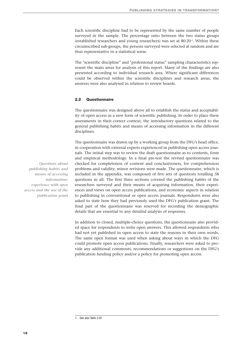Each scientific discipline had to be represented by the same number of people surveyed in the sample. The percentage ratio between the two status groups (established researchers and young researchers) was set at 80:20<sup>1</sup>. Within these circumscribed sub-groups, the persons surveyed were selected at random and are thus representative in a statistical sense.

The "scientific discipline" and "professional status" sampling characteristics represent the main areas for analysis of this report. Many of the findings are also presented according to individual research area. Where significant differences could be observed within the scientific disciplines and research areas, the answers were also analysed in relation to review boards.

#### **2.2 Questionnaire**

The questionnaire was designed above all to establish the status and acceptability of open access as a new form of scientific publishing. In order to place these assessments in their correct context, the introductory questions related to the general publishing habits and means of accessing information in the different disciplines.

The questionnaire was drawn up by a working group from the DFG's head office, in cooperation with external experts experienced in publishing open access journals. The initial step was to review the draft questionnaire as to contents, form and empirical methodology. In a final pre-test the revised questionnaire was checked for completeness of content and conclusiveness, for comprehension problems and validity; minor revisions were made. The questionnaire, which is included in the appendix, was composed of five sets of questions totalling 38 questions in all. The first three sections covered the publishing habits of the researchers surveyed and their means of acquiring information, their experiences and views on open access publications, and economic aspects in relation to publishing in conventional or open access journals. Respondents were also asked to state how they had previously used the DFG's publication grant. The final part of the questionnaire was reserved for recording the demographic details that are essential to any detailed analysis of responses.

In addition to closed, multiple-choice questions, the questionnaire also provided space for respondents to write open answers. This allowed respondents who had not yet published in open access to state the reasons in their own words. The same open format was used when asking about ways in which the DFG could promote open access publications. Finally, researchers were asked to provide any additional comments, recommendations or suggestions on the DFG's publication funding policy and/or a policy for promoting open access.

*Questions about publishing habits and means of accessing information; experience with open access and the use of the publication grant*

*<sup>1.</sup> See also Table 2.02.*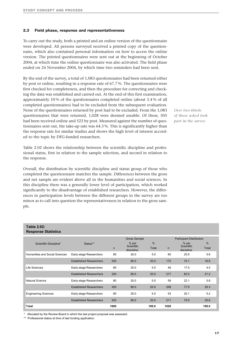#### **2.3 Field phase, response and representativeness**

To carry out the study, both a printed and an online version of the questionnaire were developed. All persons surveyed received a printed copy of the questionnaire, which also contained personal information on how to access the online version. The printed questionnaires were sent out at the beginning of October 2004, at which time the online questionnaire was also activated. The field phase ended on 24 November 2004, by which time two reminders had been sent.

By the end of the survey, a total of 1,083 questionnaires had been returned either by post or online, resulting in a response rate of 67.7 %. The questionnaires were first checked for completeness, and then the procedure for correcting and checking the data was established and carried out. At the end of this first examination, approximately 10 % of the questionnaires completed online (about 3.4 % of all completed questionnaires) had to be excluded from the subsequent evaluation. None of the questionnaires returned by post had to be excluded. From the 1,083 questionnaires that were returned, 1,028 were deemed useable. Of these, 505 had been received online and 523 by post. Measured against the number of questionnaires sent out, the take-up rate was 64.3 %. This is significantly higher than the response rate for similar studies and shows the high level of interest accorded to the topic by DFG-funded researchers.

Table 2.02 shows the relationship between the scientific discipline and professional status, first in relation to the sample selection, and second in relation to the response.

Overall, the distribution by scientific discipline and status group of those who completed the questionnaire matches the sample. Differences between the gross and net sample are evident above all in the humanities and social sciences. In this discipline there was a generally lower level of participation, which worked significantly to the disadvantage of established researchers. However, the differences in participation levels between the different groups in the survey are too minor as to call into question the representativeness in relation to the gross sample.

*Over two-thirds of those asked took part in the survey*

| <b>Response Statistics</b>     |                                |                                                        |                                    |            |      |                                    |            |
|--------------------------------|--------------------------------|--------------------------------------------------------|------------------------------------|------------|------|------------------------------------|------------|
|                                |                                | <b>Gross Sample</b><br><b>Participant Distribution</b> |                                    |            |      |                                    |            |
| Scientific Discipline*         | Status**                       | $\mathsf{n}$                                           | % per<br>Scientific<br>discipline. | %<br>Total | n    | % per<br>Scientific<br>discipline. | %<br>Total |
| Humanities and Social Sciences | Early-stage Researchers        | 80                                                     | 20.0                               | 5.0        | 60   | 25.9                               | 5.8        |
|                                | <b>Established Researchers</b> | 320                                                    | 80.0                               | 20.0       | 172  | 74.1                               | 16.8       |
| Life Sciences                  | Early-stage Researchers        | 80                                                     | 20.0                               | 5.0        | 46   | 17.5                               | 4.5        |
|                                | <b>Established Researchers</b> | 320                                                    | 80.0                               | 20.0       | 217  | 82.5                               | 21.2       |
| Natural Science                | Early-stage Researchers        | 80                                                     | 20.0                               | 5.0        | 59   | 22.1                               | 5.8        |
|                                | <b>Established Researchers</b> | 320                                                    | 80.0                               | 20.0       | 208  | 77.9                               | 20.3       |
| <b>Engineering Sciences</b>    | Early-stage Researchers        | 80                                                     | 20.0                               | 5.0        | 53   | 20.1                               | 5.2        |
|                                | <b>Established Researchers</b> | 320                                                    | 80.0                               | 20.0       | 211  | 79.9                               | 20.6       |
| <b>Total</b>                   |                                | 1600                                                   |                                    | 100.0      | 1026 |                                    | 100.0      |

\* Allocated by the Review Board in which the last project proposal was assessed.

\*\* Professional status at time of last funding application.

**Table 2.02:**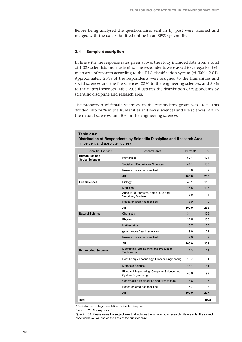Before being analysed the questionnaires sent in by post were scanned and merged with the data submitted online in an SPSS system file.

#### **2.4 Sample description**

**Table 2.03:** 

In line with the response rates given above, the study included data from a total of 1,028 scientists and academics. The respondents were asked to categorise their main area of research according to the DFG classification system (cf. Table 2.01). Approximately 25 % of the respondents were assigned to the humanities and social sciences and the life sciences, 22 % to the engineering sciences, and 30 % to the natural sciences. Table 2.03 illustrates the distribution of respondents by scientific discipline and research area.

The proportion of female scientists in the respondents group was 16 %. This divided into 24 % in the humanities and social sciences and life sciences, 9 % in the natural sciences, and 8 % in the engineering sciences.

| Distribution of Respondents by Scientific Discipline and Research Area<br>(in percent and absolute figures) |                                                                           |          |      |  |  |  |
|-------------------------------------------------------------------------------------------------------------|---------------------------------------------------------------------------|----------|------|--|--|--|
| <b>Scientific Discipline</b>                                                                                | Research Area                                                             | Percent* | n.   |  |  |  |
| <b>Humanities and</b><br><b>Social Sciences</b>                                                             | <b>Humanities</b>                                                         | 52.1     | 124  |  |  |  |
|                                                                                                             | Social and Behavioural Sciences                                           | 44.1     | 105  |  |  |  |
|                                                                                                             | Research area not specified                                               | 3.8      | 9    |  |  |  |
|                                                                                                             | All                                                                       | 100.0    | 238  |  |  |  |
| <b>Life Sciences</b>                                                                                        | Biology                                                                   | 45.1     | 115  |  |  |  |
|                                                                                                             | Medicine                                                                  | 45.5     | 116  |  |  |  |
|                                                                                                             | Agriculture, Forestry, Horticulture and<br>Veterinary Medicine            | 5.5      | 14   |  |  |  |
|                                                                                                             | Research area not specified                                               | 3.9      | 10   |  |  |  |
|                                                                                                             | All                                                                       | 100.0    | 255  |  |  |  |
| <b>Natural Science</b>                                                                                      | Chemistry                                                                 | 34.1     | 105  |  |  |  |
|                                                                                                             | Physics                                                                   | 32.5     | 100  |  |  |  |
|                                                                                                             | <b>Mathematics</b>                                                        | 10.7     | 33   |  |  |  |
|                                                                                                             | geosciences / earth sciences                                              | 19.8     | 61   |  |  |  |
|                                                                                                             | Research area not specified                                               | 2.9      | 9    |  |  |  |
|                                                                                                             | All                                                                       | 100.0    | 308  |  |  |  |
| <b>Engineering Sciences</b>                                                                                 | Mechanical Engineering and Production<br>Technology                       | 12.3     | 28   |  |  |  |
|                                                                                                             | Heat Energy Technology/ Process Engineering                               | 13.7     | 31   |  |  |  |
|                                                                                                             | <b>Materials Science</b>                                                  | 18.1     | 41   |  |  |  |
|                                                                                                             | Electrical Engineering, Computer Science and<br><b>System Engineering</b> | 43.6     | 99   |  |  |  |
|                                                                                                             | <b>Construction Engineering and Architecture</b>                          | 6.6      | 15   |  |  |  |
|                                                                                                             | Research area not specified                                               | 5.7      | 13   |  |  |  |
|                                                                                                             | All                                                                       | 100.0    | 227  |  |  |  |
| Total                                                                                                       |                                                                           |          | 1028 |  |  |  |

\* Basis for percentage calculation: Scientific discipline

Basis: 1,028; No response: 0

Question 33: Please name the subject area that includes the focus of your research. Please enter the subject code which you will find on the back of the questionnaire.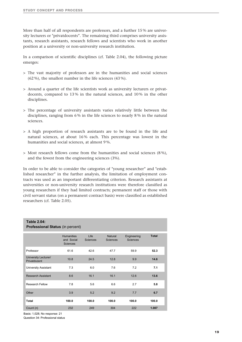More than half of all respondents are professors, and a further 15 % are university lecturers or "privatdocents". The remaining third comprises university assistants, research assistants, research fellows and scientists who work in another position at a university or non-university research institution.

In a comparison of scientific disciplines (cf. Table 2.04), the following picture emerges:

- > The vast majority of professors are in the humanities and social sciences (62 %), the smallest number in the life sciences (43 %).
- > Around a quarter of the life scientists work as university lecturers or privatdocents, compared to 13 % in the natural sciences, and 10 % in the other disciplines.
- > The percentage of university assistants varies relatively little between the disciplines, ranging from 6 % in the life sciences to nearly 8 % in the natural sciences.
- > A high proportion of research assistants are to be found in the life and natural sciences, at about 16 % each. This percentage was lowest in the humanities and social sciences, at almost 9 %.
- $>$  Most research fellows come from the humanities and social sciences (8%), and the fewest from the engineering sciences (3%).

In order to be able to consider the categories of "young researcher" and "established researcher" in the further analysis, the limitation of employment contracts was used as an important differentiating criterion. Research assistants at universities or non-university research institutions were therefore classified as young researchers if they had limited contracts; permanent staff or those with civil servant status (on a permanent contract basis) were classified as established researchers (cf. Table 2.05).

| <b>Table 2.04:</b><br><b>Professional Status (in percent)</b> |                                                    |                         |                                   |                         |              |  |  |  |
|---------------------------------------------------------------|----------------------------------------------------|-------------------------|-----------------------------------|-------------------------|--------------|--|--|--|
|                                                               | <b>Humanities</b><br>and Social<br><b>Sciences</b> | Life<br><b>Sciences</b> | <b>Natural</b><br><b>Sciences</b> | Engineering<br>Sciences | <b>Total</b> |  |  |  |
| Professor                                                     | 61.6                                               | 42.6                    | 47.7                              | 59.9                    | 52.3         |  |  |  |
| University Lecturer/<br>Privatdozent                          | 10.8                                               | 24.5                    | 12.8                              | 9.9                     | 14.6         |  |  |  |
| <b>University Assistant</b>                                   | 7.3                                                | 6.0                     | 7.6                               | 7.2                     | 7.1          |  |  |  |
| <b>Research Assistant</b>                                     | 8.6                                                | 16.1                    | 16.1                              | 12.6                    | 13.6         |  |  |  |
| Research Fellow                                               | 7.8                                                | 5.6                     | 6.6                               | 2.7                     | 5.8          |  |  |  |
| Other                                                         | 3.9                                                | 5.2                     | 9.2                               | 7.7                     | 6.7          |  |  |  |
| <b>Total</b>                                                  | 100.0                                              | 100.0                   | 100.0                             | 100.0                   | 100.0        |  |  |  |
| Count (n)                                                     | 232                                                | 249                     | 304                               | 222                     | 1.007        |  |  |  |

Basis: 1,028; No response: 21

Question 34: Professional status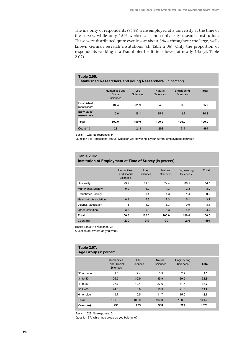The majority of respondents (85 %) were employed at a university at the time of the survey, while only 15 % worked at a non-university research institution. These were distributed quite evenly – at about 3 % – throughout the large, wellknown German research institutions (cf. Table 2.06). Only the proportion of respondents working at a Fraunhofer institute is lower, at nearly 1 % (cf. Table 2.07).

#### **Table 2.05: Established Researchers and young Researchers** (in percent)

|                            | Humanities and<br>Social<br><b>Sciences</b> | Life<br><b>Sciences</b> | Natural<br><b>Sciences</b> | Engineering<br><b>Sciences</b> | <b>Total</b> |
|----------------------------|---------------------------------------------|-------------------------|----------------------------|--------------------------------|--------------|
| Established<br>researchers | 84.4                                        | 81.9                    | 84.9                       | 90.3                           | 85.2         |
| Early-stage<br>researchers | 15.6                                        | 18.1                    | 15.1                       | 9.7                            | 14.8         |
| Total                      | 100.0                                       | 100.0                   | 100.0                      | 100.0                          | 100.0        |
| Count (n)                  | 231                                         | 248                     | 298                        | 217                            | 994          |

Basis: 1,028; No response: 34

Question 34: Professional status: Question 36: How long is your current employment contract?

#### **Table 2.06:**

#### **Institution of Employment at Time of Survey** (in percent)

|                              | <b>Humanities</b><br>and Social<br><b>Sciences</b> | Life<br><b>Sciences</b> | Natural<br><b>Sciences</b> | Engineering<br><b>Sciences</b> | <b>Total</b> |
|------------------------------|----------------------------------------------------|-------------------------|----------------------------|--------------------------------|--------------|
| University                   | 93.9                                               | 81.0                    | 79.4                       | 86.1                           | 84.6         |
| <b>Max Planck Society</b>    | 0.9                                                | 4.0                     | 4.3                        | 2.3                            | 3.0          |
| <b>Fraunhofer Society</b>    |                                                    | 0.4                     | 1.3                        | 1.4                            | 0.8          |
| <b>Helmholtz Association</b> | 0.4                                                | 5.3                     | 2.3                        | 5.1                            | 3.2          |
| Leibniz Association          | 1.3                                                | 4.0                     | 6.3                        | 0.9                            | 3.4          |
| Other institution            | 3.5                                                | 5.3                     | 6.3                        | 4.2                            | 4.9          |
| Total                        | 100.0                                              | 100.0                   | 100.0                      | 100.0                          | 100.0        |
| Count (n)                    | 230                                                | 247                     | 301                        | 216                            | 994          |

Basis: 1,028; No response: 34

Question 35: Where do you work?

#### **Table 2.07: Age Group** (in percent)

|             | <b>Humanities</b><br>and Social<br><b>Sciences</b> | Life<br><b>Sciences</b> | Natural<br>Sciences | Engineering<br><b>Sciences</b> | <b>Total</b> |
|-------------|----------------------------------------------------|-------------------------|---------------------|--------------------------------|--------------|
| 30 or under | 1.3                                                | 2.4                     | 3.9                 | 2.2                            | 2.5          |
| 31 to 40    | 26.5                                               | 32.9                    | 39.9                | 29.5                           | 32.8         |
| 41 to 50    | 27.7                                               | 42.4                    | 27.6                | 31.7                           | 32.2         |
| 51 to 60    | 24.8                                               | 16.9                    | 16.9                | 21.6                           | 19.7         |
| 61 or older | 19.7                                               | 5.5                     | 11.7                | 15.0                           | 12.7         |
| Total       | 100.0                                              | 100.0                   | 100.0               | 100.0                          | 100.0        |
| Count (n)   | 238                                                | 255                     | 308                 | 227                            | 1.028        |

Basis: 1,028; No response: 0 Question 37: Which age group do you belong to?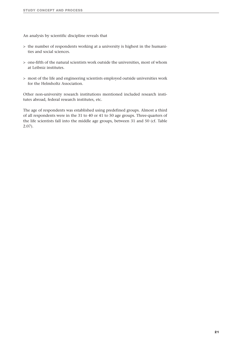An analysis by scientific discipline reveals that

- > the number of respondents working at a university is highest in the humanities and social sciences.
- > one-fifth of the natural scientists work outside the universities, most of whom at Leibniz institutes.
- > most of the life and engineering scientists employed outside universities work for the Helmholtz Association.

Other non-university research institutions mentioned included research institutes abroad, federal research institutes, etc.

The age of respondents was established using predefined groups. Almost a third of all respondents were in the 31 to 40 or 41 to 50 age groups. Three-quarters of the life scientists fall into the middle age groups, between 31 and 50 (cf. Table 2.07).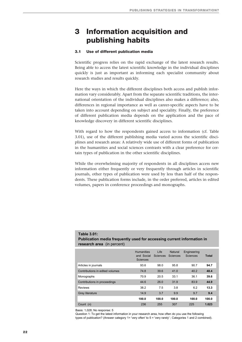## **3 Information acquisition and publishing habits**

#### **3.1 Use of different publication media**

Scientific progress relies on the rapid exchange of the latest research results. Being able to access the latest scientific knowledge in the individual disciplines quickly is just as important as informing each specialist community about research studies and results quickly.

Here the ways in which the different disciplines both access and publish information vary considerably. Apart from the separate scientific traditions, the international orientation of the individual disciplines also makes a difference; also, differences in regional importance as well as career-specific aspects have to be taken into account depending on subject and speciality. Finally, the preference of different publication media depends on the application and the pace of knowledge discovery in different scientific disciplines.

With regard to how the respondents gained access to information (cf. Table 3.01), use of the different publishing media varied across the scientific disciplines and research areas: A relatively wide use of different forms of publication in the humanities and social sciences contrasts with a clear preference for certain types of publication in the other scientific disciplines.

While the overwhelming majority of respondents in all disciplines access new information either frequently or very frequently through articles in scientific journals, other types of publication were used by less than half of the respondents. These publication forms include, in the order preferred, articles in edited volumes, papers in conference proceedings and monographs.

| <b>research area</b> (in percent) |                                                    |                  |                            |                         |       |
|-----------------------------------|----------------------------------------------------|------------------|----------------------------|-------------------------|-------|
|                                   | <b>Humanities</b><br>and Social<br><b>Sciences</b> | Life<br>Sciences | <b>Natural</b><br>Sciences | Engineering<br>Sciences | Total |
| Articles in journals              | 93.6                                               | 98.0             | 95.8                       | 90.7                    | 94.7  |
| Contributions in edited volumes   | 74.8                                               | 39.6             | 41.0                       | 40.2                    | 48.4  |
| Monographs                        | 70.9                                               | 20.5             | 33.1                       | 36.1                    | 39.6  |
| Contributions in proceedings      | 44.6                                               | 26.0             | 31.9                       | 83.9                    | 44.9  |
| <b>Reviews</b>                    | 38.2                                               | 7.5              | 3.8                        | 6.2                     | 13.3  |
| <b>Grey literature</b>            | 14.9                                               | 3.7              | 9.9                        | 9.7                     | 9.4   |
|                                   | 100.0                                              | 100.0            | 100.0                      | 100.0                   | 100.0 |
| Count (n)                         | 236                                                | 255              | 307                        | 225                     | 1.023 |

**Table 3.01: Publication media frequently used for accessing current information in** 

Basis: 1,028; No response: 5

Question 1: To get the latest information in your research area, how often do you use the following types of publication? (Answer category 1= 'very often' to 5 = 'very rarely' ; Categories 1 and 2 combined).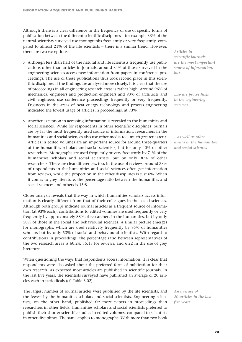Although there is a clear difference in the frequency of use of specific forms of publication between the different scientific disciplines – for example 33% of the natural scientists surveyed use monographs frequently or very frequently, compared to almost 21% of the life scientists – there is a similar trend. However, there are two exceptions:

- > Although less than half of the natural and life scientists frequently use publications other than articles in journals, around 84% of those surveyed in the engineering sciences access new information from papers in conference proceedings. The use of these publications thus took second place in this scientific discipline. If the findings are analysed more closely, it is clear that the use of proceedings in all engineering research areas is rather high: Around 96% of mechanical engineers and production engineers and 93% of architects and civil engineers use conference proceedings frequently or very frequently. Engineers in the areas of heat energy technology and process engineering indicated the lowest usage of articles in proceedings, at 73%.
- > Another exception in accessing information is revealed in the humanities and social sciences. While for respondents in other scientific disciplines journals are by far the most frequently used source of information, researchers in the humanities and social sciences also use other media to a much greater extent. Articles in edited volumes are an important source for around three-quarters of the humanities scholars and social scientists, but for only 40% of other researchers. Monographs are used frequently or very frequently by 71% of the humanities scholars and social scientists, but by only 30% of other researchers. There are clear differences, too, in the use of reviews: Around 38% of respondents in the humanities and social sciences often get information from reviews, while the proportion in the other disciplines is just 6%. When it comes to grey literature, the percentage ratio between the humanities and social sciences and others is 15:8.

Closer analysis reveals that the way in which humanities scholars access information is clearly different from that of their colleagues in the social sciences. Although both groups indicate journal articles as a frequent source of information (at 93% each), contributions to edited volumes are used frequently or very frequently by approximately 88% of researchers in the humanities, but by only 58% of those in the social and behavioural sciences. A similar picture emerges for monographs, which are used relatively frequently by 85% of humanities scholars but by only 53% of social and behavioural scientists. With regard to contributions in proceedings, the percentage ratio between representatives of the two research areas is 60:24, 55:15 for reviews, and 6:22 in the use of grey literature.

When questioning the ways that respondents access information, it is clear that respondents were also asked about the preferred form of publication for their own research. As expected most articles are published in scientific journals. In the last five years, the scientists surveyed have published an average of 20 articles each in periodicals (cf. Table 3.02).

The largest number of journal articles were published by the life scientists, and the fewest by the humanities scholars and social scientists. Engineering scientists, on the other hand, published far more papers in proceedings than researchers in other fields. Humanities scholars and social scientists preferred to publish their shorter scientific studies in edited volumes, compared to scientists in other disciplines. The same applies to monographs: With more than two book *Articles in scientific journals are the most important source of information, but...*

*...so are proceedings in the engineering sciences...*

*...as well as other media in the humanities and social sciences*

*An average of 20 articles in the last five years...*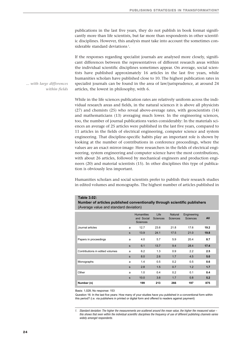publications in the last five years, they do not publish in book format significantly more than life scientists, but far more than respondents in other scientific disciplines. However, this analysis must take into account the sometimes considerable standard deviations<sup>1</sup>.

If the responses regarding specialist journals are analysed more closely, significant differences between the representatives of different research areas within the individual scientific disciplines sometimes appear. On average, social scientists have published approximately 16 articles in the last five years, while humanities scholars have published close to 10. The highest publication rates in specialist journals can be found in the area of law/jurisprudence, at around 24 articles, the lowest in philosophy, with 6.

While in the life sciences publication rates are relatively uniform across the individual research areas and fields, in the natural sciences it is above all physicists (27) and chemists (25) who reveal above-average rates, with geoscientists (14) and mathematicians (13) averaging much lower. In the engineering sciences, too, the number of journal publications varies considerably: In the materials sciences an average of 25 articles were published in the last five years, compared to 11 articles in the fields of electrical engineering, computer science and system engineering. That discipline-specific habits play an important role is shown by looking at the number of contributions in conference proceedings, where the values are an exact mirror-image: Here researchers in the fields of electrical engineering, system engineering and computer science have the most contributions, with about 26 articles, followed by mechanical engineers and production engineers (20) and material scientists (15). In other disciplines this type of publication is obviously less important.

Humanities scholars and social scientists prefer to publish their research studies in edited volumes and monographs. The highest number of articles published in

#### **Table 3.02:**

**Number of articles published conventionally through scientific publishers** (Average value and standard deviation)

|                                 |   | <b>Humanities</b><br>and Social<br><b>Sciences</b> | Life<br>Sciences | Natural<br><b>Sciences</b> | Engineering<br><b>Sciences</b> | All  |
|---------------------------------|---|----------------------------------------------------|------------------|----------------------------|--------------------------------|------|
| Journal articles                | a | 12.7                                               | 23.6             | 21.8                       | 17.6                           | 19.2 |
|                                 | s | 13.9                                               | 24.1             | 17.5                       | 21.0                           | 19.8 |
| Papers in proceedings           | a | 4.0                                                | 5.7              | 5.9                        | 20.4                           | 8.7  |
|                                 | s | 6.1                                                | 13.7             | 9.4                        | 28.4                           | 17.4 |
| Contributions in edited volumes | a | 6.2                                                | 1.3              | 0.9                        | 2.2                            | 2.5  |
|                                 | s | 8.0                                                | 2.6              | 1.7                        | 4.5                            | 5.0  |
| Monographs                      | a | 1.4                                                | 0.5              | 0.2                        | 0.5                            | 0.6  |
|                                 | s | 2.8                                                | 1.5              | 0.7                        | 1.2                            | 1.7  |
| Other                           | a | 1.0                                                | 0.4              | 0.2                        | 0.1                            | 0.4  |
|                                 | s | 10.0                                               | 3.6              | 1.7                        | 0.8                            | 5.2  |
| Number (n)                      |   | 199                                                | 213              | 266                        | 197                            | 875  |

Basis: 1,028; No response: 153

Question 16: In the last five years: How many of your studies have you published in a conventional form within this period? (i.e. via publishers in printed or digital form and offered to readers against payment)

*1. Standard deviation: The higher the measurements are scattered around the mean value, the higher the measured value – this shows that even within the individual scientific disciplines the frequency of use of different publishing channels varies widely amongst respondents.*

*... with large differences within fields*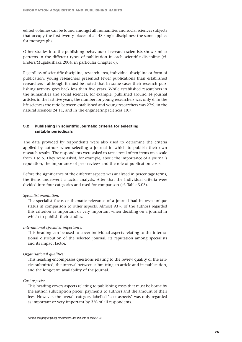edited volumes can be found amongst all humanities and social sciences subjects that occupy the first twenty places of all 48 single disciplines; the same applies for monographs.

Other studies into the publishing behaviour of research scientists show similar patterns in the different types of publication in each scientific discipline (cf. Enders/Mugabushaka 2004, in particular Chapter 6).

Regardless of scientific discipline, research area, individual discipline or form of publication, young researchers presented fewer publications than established researchers<sup>1</sup>, although it must be noted that in some cases their research publishing activity goes back less than five years. While established researchers in the humanities and social sciences, for example, published around 14 journal articles in the last five years, the number for young researchers was only 6. In the life sciences the ratio between established and young researchers was 27:9, in the natural sciences 24:11, and in the engineering sciences 19:7.

#### **3.2 Publishing in scientific journals: criteria for selecting suitable periodicals**

The data provided by respondents were also used to determine the criteria applied by authors when selecting a journal in which to publish their own research results. The respondents were asked to rate a total of ten items on a scale from 1 to 5. They were asked, for example, about the importance of a journal's reputation, the importance of peer reviews and the role of publication costs.

Before the significance of the different aspects was analysed in percentage terms, the items underwent a factor analysis. After that the individual criteria were divided into four categories and used for comparison (cf. Table 3.03).

#### *Specialist orientation:*

The specialist focus or thematic relevance of a journal had its own unique status in comparison to other aspects. Almost 93 % of the authors regarded this criterion as important or very important when deciding on a journal in which to publish their studies.

#### *International specialist importance:*

This heading can be used to cover individual aspects relating to the international distribution of the selected journal, its reputation among specialists and its impact factor.

#### *Organisational qualities:*

This heading encompasses questions relating to the review quality of the articles submitted, the interval between submitting an article and its publication, and the long-term availability of the journal.

#### *Cost aspects:*

This heading covers aspects relating to publishing costs that must be borne by the author, subscription prices, payments to authors and the amount of their fees. However, the overall category labelled "cost aspects" was only regarded as important or very important by 3 % of all respondents.

*<sup>1.</sup> For the category of young researchers, see the lists in Table 2.04.*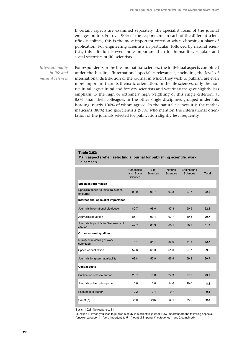If certain aspects are examined separately, the specialist focus of the journal emerges on top. For over 90% of the respondents in each of the different scientific disciplines, this is the most important criterion when choosing a place of publication. For engineering scientists in particular, followed by natural scientists, this criterion is even more important than for humanities scholars and social scientists or life scientists.

For respondents in the life and natural sciences, the individual aspects combined under the heading "International specialist relevance", including the level of international distribution of the journal in which they wish to publish, are even more important than its thematic orientation. In the life sciences, only the horticultural, agricultural and forestry scientists and veterinarians gave slightly less emphasis to the high or extremely high weighting of this single criterion, at 85 %, than their colleagues in the other single disciplines grouped under this heading, nearly 100% of whom agreed. In the natural sciences it is the mathematicians (88%) and geoscientists (95%) who mention the international orientation of the journals selected for publication slightly less frequently. *Internationality in life and natural sciences*

#### **Table 3.03:**

**Main aspects when selecting a journal for publishing scientific work**  (in percent)

|                                                    | <b>Humanities</b><br>and Social<br><b>Sciences</b> | Life<br><b>Sciences</b> | Natural<br><b>Sciences</b> | Engineering<br><b>Sciences</b> | <b>Total</b> |
|----------------------------------------------------|----------------------------------------------------|-------------------------|----------------------------|--------------------------------|--------------|
| <b>Specialist orientation</b>                      |                                                    |                         |                            |                                |              |
| Specialist focus / subject relevance<br>of journal | 90.0                                               | 90.7                    | 93.3                       | 97.7                           | 92.6         |
| International specialist importance                |                                                    |                         |                            |                                |              |
| Journal's international distribution               | 80.7                                               | 98.0                    | 97.3                       | 90.5                           | 92.2         |
| Journal's reputation                               | 85.1                                               | 93.4                    | 93.7                       | 89.5                           | 90.7         |
| Journal's impact factor/ frequency of<br>citation  | 42.7                                               | 83.3                    | 66.1                       | 50.2                           | 61.7         |
| <b>Organisational qualities</b>                    |                                                    |                         |                            |                                |              |
| Quality of reviewing of work<br>submitted          | 74.1                                               | 84.1                    | 86.6                       | 84.5                           | 82.7         |
| Speed of publication                               | 52.8                                               | 65.3                    | 61.0                       | 57.7                           | 59.5         |
| Journal's long-term availability                   | 63.8                                               | 52.9                    | 65.4                       | 59.8                           | 60.7         |
| <b>Cost aspects</b>                                |                                                    |                         |                            |                                |              |
| Publication costs to author                        | 20.7                                               | 16.8                    | 27.3                       | 27.2                           | 23.2         |
| Journal's subscription price                       | 3.6                                                | 5.0                     | 14.6                       | 10.6                           | 8.8          |
| Fees paid to author                                | 2.2                                                | 0.4                     | 0.7                        |                                | 0.8          |
| Count (n)                                          | 230                                                | 246                     | 301                        | 220                            | 997          |

Basis: 1,028; No response: 31

Question 6: When you wish to publish a study in a scientific journal: How important are the following aspects? (answer category 1 = 'very important' to 5 = 'not at all important'; categories 1 and 2 combined).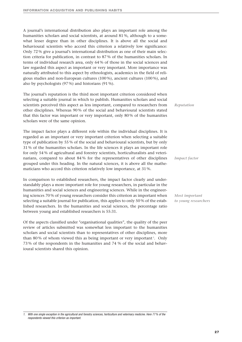A journal's international distribution also plays an important role among the humanities scholars and social scientists, at around 81 %, although to a somewhat lesser degree than in other disciplines. It is above all the social and behavioural scientists who accord this criterion a relatively low significance: Only 72 % give a journal's international distribution as one of their main selection criteria for publication, in contrast to 87 % of the humanities scholars. In terms of individual research area, only 64 % of those in the social sciences and law regarded this aspect as important or very important. More importance was naturally attributed to this aspect by ethnologists, academics in the field of religious studies and non-European cultures (100 %), ancient cultures (100 %), and also by psychologists (97 %) and historians (91 %).

The journal's reputation is the third most important criterion considered when selecting a suitable journal in which to publish. Humanities scholars and social scientists perceived this aspect as less important, compared to researchers from other disciplines. Whereas 90 % of the social and behavioural scientists stated that this factor was important or very important, only 80 % of the humanities scholars were of the same opinion.

The impact factor plays a different role within the individual disciplines. It is regarded as an important or very important criterion when selecting a suitable type of publication by 55 % of the social and behavioural scientists, but by only 31 % of the humanities scholars. In the life sciences it plays an important role for only 54 % of agricultural and forestry scientists, horticulturalists and veterinarians, compared to about 84 % for the representatives of other disciplines grouped under this heading. In the natural sciences, it is above all the mathematicians who accord this criterion relatively low importance, at 31 %.

In comparison to established researchers, the impact factor clearly and understandably plays a more important role for young researchers, in particular in the humanities and social sciences and engineering sciences. While in the engineering sciences 70 % of young researchers consider this criterion as important when selecting a suitable journal for publication, this applies to only 50 % of the established researchers. In the humanities and social sciences, the percentage ratio between young and established researchers is 55:31.

Of the aspects classified under "organisational qualities", the quality of the peer review of articles submitted was somewhat less important to the humanities scholars and social scientists than to representatives of other disciplines, more than 80% of whom viewed this as being important or very important<sup>1</sup>. Only 73 % of the respondents in the humanities and 74 % of the social and behavioural scientists shared this opinion.

*Reputation*

*Impact factor*

*Most important to young researchers*

*<sup>1.</sup> With one single exception in the agricultural and forestry sciences, horticulture and veterinary medicine. Here 77 % of the respondents viewed this criterion as important.*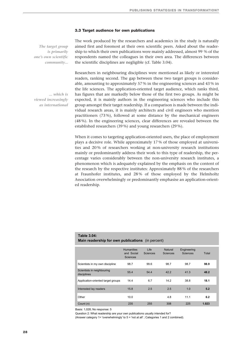#### **3.3 Target audience for own publications**

*The target group is primarily one's own scientific community...* The work produced by the researchers and academics in the study is naturally aimed first and foremost at their own scientific peers. Asked about the readership to which their own publications were mainly addressed, almost 99 % of the respondents named the colleagues in their own area. The differences between the scientific disciplines are negligible (cf. Table 3.04).

*... which is viewed increasingly as international*

Researchers in neighbouring disciplines were mentioned as likely or interested readers, ranking second. The gap between these two target groups is considerable, amounting to approximately 57 % in the engineering sciences and 43 % in the life sciences. The application-oriented target audience, which ranks third, has figures that are markedly below those of the first two groups. As might be expected, it is mainly authors in the engineering sciences who include this group amongst their target readership. If a comparison is made between the individual research areas, it is mainly architects and civil engineers who mention practitioners (73 %), followed at some distance by the mechanical engineers (48 %). In the engineering sciences, clear differences are revealed between the established researchers (39 %) and young researchers (29 %).

When it comes to targeting application-oriented users, the place of employment plays a decisive role. While approximately 17 % of those employed at universities and 20 % of researchers working at non-university research institutions mainly or predominantly address their work to this type of readership, the percentage varies considerably between the non-university research institutes, a phenomenon which is adequately explained by the emphasis on the content of the research by the respective institutes: Approximately 88 % of the researchers at Fraunhofer institutes, and 28 % of those employed by the Helmholtz Association overwhelmingly or predominantly emphasise an application-oriented readership.

| Main readership for own publications (in percent) |                                                    |                  |                            |                                |       |  |  |  |
|---------------------------------------------------|----------------------------------------------------|------------------|----------------------------|--------------------------------|-------|--|--|--|
|                                                   | <b>Humanities</b><br>and Social<br><b>Sciences</b> | Life<br>Sciences | Natural<br><b>Sciences</b> | Engineering<br><b>Sciences</b> | Total |  |  |  |
| Scientists in my own discipline                   | 98.7                                               | 99.6             | 98.7                       | 98.7                           | 98.9  |  |  |  |
| Scientists in neighbouring<br>disciplines         | 55.4                                               | 54.4             | 42.2                       | 41.3                           | 48.2  |  |  |  |
| Application-oriented target groups                | 14.4                                               | 6.7              | 14.2                       | 38.8                           | 18.1  |  |  |  |
| Interested lay readers                            | 15.8                                               | 2.5              | 2.5                        | 1.0                            | 5.2   |  |  |  |
| Other                                             | 10.0                                               |                  | 4.8                        | 11.1                           | 6.2   |  |  |  |
| Count (n)                                         | 235                                                | 255              | 308                        | 225                            | 1.023 |  |  |  |

Basis: 1,028; No response: 5

**Table 3.04:**

Question 2: What readership are your own publications usually intended for?

(Answer category 1= 'overwhelmingly' to 5 = 'not at all' ; Categories 1 and 2 combined).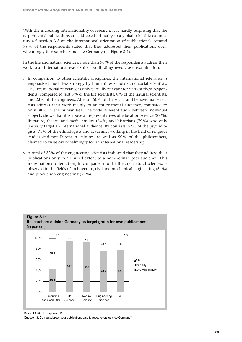With the increasing internationality of research, it is hardly surprising that the respondents' publications are addressed primarily to a global scientific community (cf. section 3.2 on the international orientation of publications). Around 78 % of the respondents stated that they addressed their publications overwhelmingly to researchers outside Germany (cf. Figure 3-1).

In the life and natural sciences, more than 90 % of the respondents address their work to an international readership. Two findings need closer examination.

- > In comparison to other scientific disciplines, the international relevance is emphasised much less strongly by humanities scholars and social scientists. The international relevance is only partially relevant for 55 % of these respondents, compared to just 6 % of the life scientists, 8 % of the natural scientists, and 23 % of the engineers. After all 50 % of the social and behavioural scientists address their work mainly to an international audience, compared to only 38 % in the humanities. The wide differentiation between individual subjects shows that it is above all representatives of education science (88 %), literature, theatre and media studies (84 %) and historians (79 %) who only partially target an international audience. By contrast, 82 % of the psychologists, 71 % of the ethnologists and academics working in the field of religious studies and non-European cultures, as well as 50 % of the philosophers, claimed to write overwhelmingly for an international readership.
- > A total of 22 % of the engineering scientists indicated that they address their publications only to a limited extent to a non-German peer audience. This more national orientation, in comparison to the life and natural sciences, is observed in the fields of architecture, civil and mechanical engineering (54 %) and production engineering (52 %).





Question 3: Do you address your publications also to researchers outside Germany?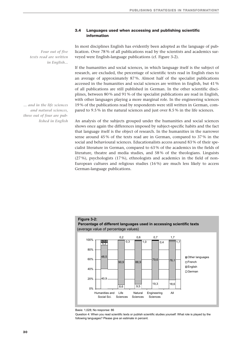#### **3.4 Languages used when accessing and publishing scientific information**

*Four out of five texts read are written in English...*

*... and in the life sciences and natural sciences, three out of four are published in English* In most disciplines English has evidently been adopted as the language of publication. Over 78 % of all publications read by the scientists and academics surveyed were English-language publications (cf. Figure 3-2).

If the humanities and social sciences, in which language itself is the subject of research, are excluded, the percentage of scientific texts read in English rises to an average of approximately 87 %. Almost half of the specialist publications accessed in the humanities and social sciences are written in English, but 41 % of all publications are still published in German. In the other scientific disciplines, between 80 % and 91 % of the specialist publications are read in English, with other languages playing a more marginal role. In the engineering sciences 19 % of the publications read by respondents were still written in German, compared to 9.5 % in the natural sciences and just over 8.5 % in the life sciences.

An analysis of the subjects grouped under the humanities and social sciences shows once again the differences imposed by subject-specific habits and the fact that language itself is the object of research. In the humanities in the narrower sense around 45 % of the texts read are in German, compared to 37 % in the social and behavioural sciences. Educationalists access around 83 % of their specialist literature in German, compared to 63 % of the academics in the fields of literature, theatre and media studies, and 58 % of the theologians. Linguists (27 %), psychologists (17 %), ethnologists and academics in the field of non-European cultures and religious studies (16 %) are much less likely to access German-language publications.



Basis: 1,028; No response: 86

Question 4: When you read scientific texts or publish scientific studies yourself: What role is played by the following languages? Please give an estimate in percent.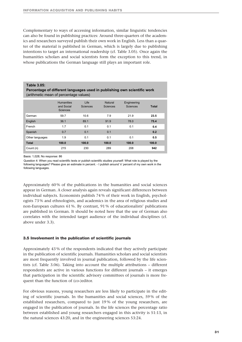Complementary to ways of accessing information, similar linguistic tendencies can also be found in publishing practices: Around three-quarters of the academics and researchers surveyed publish their own work in English. Less than a quarter of the material is published in German, which is largely due to publishing intentions to target an international readership (cf. Table 3.05). Once again the humanities scholars and social scientists form the exception to this trend, in whose publications the German language still plays an important role.

#### **Table 3.05:**

**Percentage of different languages used in publishing own scientific work** (arithmetic mean of percentage values)

|                 | <b>Humanities</b><br>and Social<br><b>Sciences</b> | Life<br><b>Sciences</b> | Natural<br>Sciences | Engineering<br><b>Sciences</b> | <b>Total</b> |
|-----------------|----------------------------------------------------|-------------------------|---------------------|--------------------------------|--------------|
| German          | 59.7                                               | 10.6                    | 7.9                 | 21.9                           | 23.5         |
| English         | 36.1                                               | 89.1                    | 91.9                | 78.0                           | 75.4         |
| French          | 1.7                                                | 0.1                     | 0.1                 | 0.1                            | 0.4          |
| Spanish         | 0.7                                                | 0.1                     | 0.1                 |                                | 0.2          |
| Other languages | 1.9                                                | 0.1                     | 0.1                 | 0.1                            | 0.5          |
| <b>Total</b>    | 100.0                                              | 100.0                   | 100.0               | 100.0                          | 100.0        |
| Count (n)       | 215                                                | 230                     | 289                 | 208                            | 942          |

Basis: 1,028; No response: 86

Question 4: When you read scientific texts or publish scientific studies yourself: What role is played by the following languages? Please give an estimate in percent. - I publish around 'x' percent of my own work in the following languages.

Approximately 60 % of the publications in the humanities and social sciences appear in German. A closer analysis again reveals significant differences between individual subjects. Economists publish 74 % of their work in English, psychologists 73 % and ethnologists, and academics in the area of religious studies and non-European cultures 61 %. By contrast, 91 % of educationalists' publications are published in German. It should be noted here that the use of German also correlates with the intended target audience of the individual disciplines (cf. above under 3.3).

#### **3.5 Involvement in the publication of scientific journals**

Approximately 43 % of the respondents indicated that they actively participate in the publication of scientific journals. Humanities scholars and social scientists are most frequently involved in journal publication, followed by the life scientists (cf. Table 3.06). Taking into account the multiple attributions – different respondents are active in various functions for different journals – it emerges that participation in the scientific advisory committees of journals is more frequent than the function of (co-)editor.

For obvious reasons, young researchers are less likely to participate in the editing of scientific journals. In the humanities and social sciences, 59 % of the established researchers, compared to just 19 % of the young researchers, are engaged in the publication of journals. In the life sciences the percentage ratio between established and young researchers engaged in this activity is 51:13, in the natural sciences 43:20, and in the engineering sciences 53:24.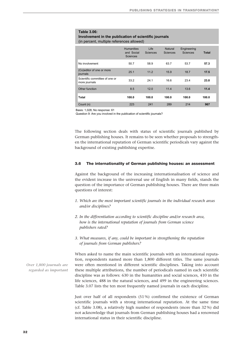#### **Table 3.06: Involvement in the publication of scientific journals**  (in percent, multiple references allowed)

|                                                 | <b>Humanities</b><br>and Social<br><b>Sciences</b> | Life<br>Sciences | <b>Natural</b><br>Sciences | Engineering<br><b>Sciences</b> | <b>Total</b> |
|-------------------------------------------------|----------------------------------------------------|------------------|----------------------------|--------------------------------|--------------|
| No involvement                                  | 50.7                                               | 58.9             | 63.7                       | 53.7                           | 57.3         |
| (Co)editor of one or more<br>journals           | 25.1                                               | 11.2             | 15.9                       | 18.7                           | 17.5         |
| Scientific committee of one or<br>more journals | 33.2                                               | 24.1             | 16.6                       | 23.4                           | 23.8         |
| Other function                                  | 8.5                                                | 12.0             | 11.4                       | 13.6                           | 11.4         |
| Total                                           | 100.0                                              | 100.0            | 100.0                      | 100.0                          | 100.0        |
| Count (n)                                       | 223                                                | 241              | 289                        | 214                            | 967          |

Basis: 1,028; No response: 61

Question 9: Are you involved in the publication of scientific journals?

The following section deals with status of scientific journals published by German publishing houses. It remains to be seen whether proposals to strengthen the international reputation of German scientific periodicals vary against the background of existing publishing expertise.

#### **3.6 The internationality of German publishing houses: an assessment**

Against the background of the increasing internationalisation of science and the evident increase in the universal use of English in many fields, stands the question of the importance of German publishing houses. There are three main questions of interest:

- *1. Which are the most important scientific journals in the individual research areas and/or disciplines?*
- *2. In the differentiation according to scientific discipline and/or research area, how is the international reputation of journals from German science publishers rated?*
- *3. What measures, if any, could be important in strengthening the reputation of journals from German publishers?*

When asked to name the main scientific journals with an international reputation, respondents named more than 1,800 different titles. The same journals were often mentioned in different scientific disciplines. Taking into account these multiple attributions, the number of periodicals named in each scientific discipline was as follows: 630 in the humanities and social sciences, 410 in the life sciences, 488 in the natural sciences, and 499 in the engineering sciences. Table 3.07 lists the ten most frequently named journals in each discipline.

Just over half of all respondents (51 %) confirmed the existence of German scientific journals with a strong international reputation. At the same time (cf. Table 3.08), a relatively high number of respondents (more than 32 %) did not acknowledge that journals from German publishing houses had a renowned international status in their scientific discipline.

*Over 1,800 journals are regarded as important*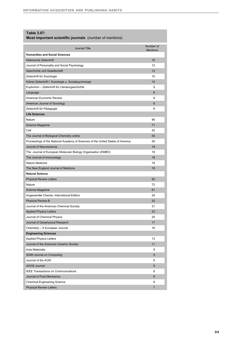#### **Table 3.07:**

#### **Most important scientific journals** (number of mentions)

| Journal Title                                                                   | Number of<br><b>Mentions</b> |
|---------------------------------------------------------------------------------|------------------------------|
| <b>Humanities and Social Sciences</b>                                           |                              |
| <b>Historische Zeitschrift</b>                                                  | 18                           |
| Journal of Personality and Social Psychology                                    | 12                           |
| Geschichte und Gesellschaft                                                     | 12                           |
| Zeitschrift für Soziologie                                                      | 10                           |
| Kölner Zeitschrift f. Soziologie u. Sozialpsychologie                           | 10                           |
| Euphorion – Zeitschrift für Literaturgeschichte                                 | 9                            |
| Language                                                                        | 8                            |
| American Economic Review                                                        | 8                            |
| American Journal of Sociology                                                   | 8                            |
| Zeitschrift für Pädagogik                                                       | 8                            |
| <b>Life Sciences</b>                                                            |                              |
| Nature                                                                          | 96                           |
| Science Magazine                                                                | 71                           |
| Cell                                                                            | 42                           |
| The Journal of Biological Chemistry online                                      | 30                           |
| Proceedings of the National Academy of Sciences of the United States of America | 26                           |
| Journal of Neuroscience                                                         | 18                           |
| The Journal of European Molecular Biology Organisation (EMBO)                   | 18                           |
| The Journal of Immunology                                                       | 18                           |
| Nature Medicine                                                                 | 18                           |
| The New England Journal of Medicine                                             | 18                           |
| <b>Natural Science</b>                                                          |                              |
| <b>Physical Review Letters</b>                                                  | 92                           |
| Nature                                                                          | 72                           |
| Science Magazine                                                                | 61                           |
| Angewandte Chemie, International Edition                                        | 34                           |
| <b>Physical Review B</b>                                                        | 32                           |
| Journal of the American Chemical Society                                        | 31                           |
| <b>Applied Physics Letters</b>                                                  | 23                           |
| Journal of Chemical Physics                                                     | 20                           |
| Journal of Geophysical Research                                                 | 17                           |
| Chemistry - A European Journal                                                  | 16                           |
| <b>Engineering Sciences</b>                                                     |                              |
| <b>Applied Physics Letters</b>                                                  | 13                           |
| Journal of the American Ceramic Society                                         | 11                           |
| Acta Materialia                                                                 | 9                            |
| <b>SIAM Journal on Computing</b>                                                | 9                            |
| Journal of the ACM                                                              | 9                            |
| AIChE Journal                                                                   | 9                            |
| <b>IEEE Transactions on Communications</b>                                      | 8                            |
| Journal of Fluid Mechanics                                                      | 8                            |
| <b>Chemical Engineering Science</b>                                             | 8                            |
| <b>Physical Review Letters</b>                                                  | $\overline{7}$               |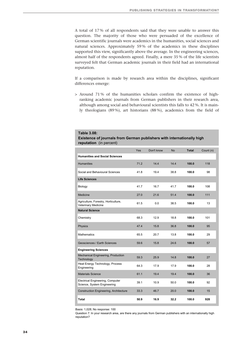A total of 17 % of all respondents said that they were unable to answer this question. The majority of those who were persuaded of the excellence of German scientific journals were academics in the humanities, social sciences and natural sciences. Approximately 59 % of the academics in these disciplines supported this view, significantly above the average. In the engineering sciences, almost half of the respondents agreed. Finally, a mere 35 % of the life scientists surveyed felt that German academic journals in their field had an international reputation.

If a comparison is made by research area within the disciplines, significant differences emerge:

> Around 71 % of the humanities scholars confirm the existence of highranking academic journals from German publishers in their research area, although among social and behavioural scientists this falls to 42 %. It is mainly theologians (89 %), art historians (88 %), academics from the field of

#### **Table 3.08:**

#### **Existence of journals from German publishers with internationally high reputation** (in percent)

|                                                                    | Yes  | Don't know | <b>No</b> | <b>Total</b> | Count (n) |
|--------------------------------------------------------------------|------|------------|-----------|--------------|-----------|
| <b>Humanities and Social Sciences</b>                              |      |            |           |              |           |
| <b>Humanities</b>                                                  | 71.2 | 14.4       | 14.4      | 100.0        | 118       |
| Social and Behavioural Sciences                                    | 41.8 | 19.4       | 38.8      | 100.0        | 98        |
| <b>Life Sciences</b>                                               |      |            |           |              |           |
| Biology                                                            | 41.7 | 16.7       | 41.7      | 100.0        | 108       |
| Medicine                                                           | 27.0 | 21.6       | 51.4      | 100.0        | 111       |
| Agriculture, Forestry, Horticulture,<br><b>Veterinary Medicine</b> | 61.5 | 0.0        | 38.5      | 100.0        | 13        |
| <b>Natural Science</b>                                             |      |            |           |              |           |
| Chemistry                                                          | 68.3 | 12.9       | 18.8      | 100.0        | 101       |
| Physics                                                            | 47.4 | 15.8       | 36.8      | 100.0        | 95        |
| <b>Mathematics</b>                                                 | 65.5 | 20.7       | 13.8      | 100.0        | 29        |
| Geosciences / Earth Sciences                                       | 59.6 | 15.8       | 24.6      | 100.0        | 57        |
| <b>Engineering Sciences</b>                                        |      |            |           |              |           |
| Mechanical Engineering, Production<br>Technology                   | 59.3 | 25.9       | 14.8      | 100.0        | 27        |
| Heat Energy Technology, Process<br>Engineering                     | 64.3 | 17.9       | 17.9      | 100.0        | 28        |
| <b>Materials Science</b>                                           | 61.1 | 19.4       | 19.4      | 100.0        | 36        |
| Electrical Engineering, Computer<br>Science, System Engineering    | 39.1 | 10.9       | 50.0      | 100.0        | 92        |
| <b>Construction Engineering, Architecture</b>                      | 33.3 | 46.7       | 20.0      | 100.0        | 15        |
| Total                                                              | 50.9 | 16.9       | 32.2      | 100.0        | 928       |

Basis: 1,028; No response: 100

Question 7: In your research area, are there any journals from German publishers with an internationally high reputation?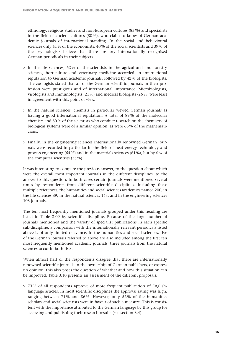ethnology, religious studies and non-European cultures (83 %) and specialists in the field of ancient cultures (80 %), who claim to know of German academic journals of international standing. In the social and behavioural sciences only 41 % of the economists, 40 % of the social scientists and 39 % of the psychologists believe that there are any internationally recognised German periodicals in their subjects.

- > In the life sciences, 62 % of the scientists in the agricultural and forestry sciences, horticulture and veterinary medicine accorded an international reputation to German academic journals, followed by 42 % of the biologists. The zoologists stated that all of the German scientific journals in their profession were prestigious and of international importance. Microbiologists, virologists and immunologists (21 %) and medical biologists (26 %) were least in agreement with this point of view.
- > In the natural sciences, chemists in particular viewed German journals as having a good international reputation. A total of 89 % of the molecular chemists and 80 % of the scientists who conduct research on the chemistry of biological systems were of a similar opinion, as were 66 % of the mathematicians.
- > Finally, in the engineering sciences internationally renowned German journals were recorded in particular in the field of heat energy technology and process engineering (64 %) and in the materials sciences (61 %), but by few of the computer scientists (35 %).

It was interesting to compare the previous answer, to the question about which were the overall most important journals in the different disciplines, to the answer to this question. In both cases certain journals were mentioned several times by respondents from different scientific disciplines. Including these multiple references, the humanities and social sciences academics named 200, in the life sciences 89, in the natural sciences 143, and in the engineering sciences 103 journals.

The ten most frequently mentioned journals grouped under this heading are listed in Table 3.09 by scientific discipline. Because of the large number of journals mentioned and the variety of specialist publications in each specific sub-discipline, a comparison with the internationally relevant periodicals listed above is of only limited relevance. In the humanities and social sciences, five of the German journals referred to above are also included among the first ten most frequently mentioned academic journals; three journals from the natural sciences occur in both lists.

When almost half of the respondents disagree that there are internationally renowned scientific journals in the ownership of German publishers, or express no opinion, this also poses the question of whether and how this situation can be improved. Table 3.10 presents an assessment of the different proposals.

> 73 % of all respondents approve of more frequent publication of Englishlanguage articles. In most scientific disciplines the approval rating was high, ranging between 71 % and 86 %. However, only 52 % of the humanities scholars and social scientists were in favour of such a measure. This is consistent with the importance attributed to the German language by this group for accessing and publishing their research results (see section 3.4).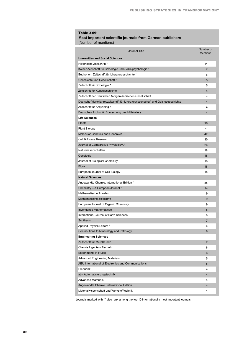#### **Table 3.09: Most important scientific journals from German publishers**  (Number of mentions)

| <b>Journal Title</b>                                                              | Number of<br><b>Mentions</b> |
|-----------------------------------------------------------------------------------|------------------------------|
| <b>Humanities and Social Sciences</b>                                             |                              |
| Historische Zeitschrift *                                                         | 11                           |
| Kölner Zeitschrift für Soziologie und Sozialpsychologie *                         | $\overline{7}$               |
| Euphorion. Zeitschrift für Literaturgeschichte *                                  | 6                            |
| Geschichte und Gesellschaft *                                                     | 5                            |
| Zeitschrift für Soziologie *                                                      | 5                            |
| Zeitschrift für Kunstgeschichte                                                   | 4                            |
| Zeitschrift der Deutschen Morgenländischen Gesellschaft                           | 4                            |
| Deutsche Vierteljahreszeitschrift für Literaturwissenschaft und Geistesgeschichte | $\overline{\mathbf{4}}$      |
| Zeitschrift für Assyriologie                                                      | 4                            |
| Deutsches Archiv für Erforschung des Mittelalters                                 | 4                            |
| <b>Life Sciences</b>                                                              |                              |
| Planta                                                                            | 96                           |
| <b>Plant Biology</b>                                                              | 71                           |
| <b>Molecular Genetics and Genomics</b>                                            | 42                           |
| Cell & Tissue Research                                                            | 30                           |
| Journal of Comparative Physiology A                                               | 26                           |
| Naturwissenschaften                                                               | 18                           |
| Oecologia                                                                         | 18                           |
| Journal of Biological Chemistry                                                   | 18                           |
| Flora                                                                             | 18                           |
| European Journal of Cell Biology                                                  | 18                           |
| <b>Natural Sciences</b>                                                           |                              |
| Angewandte Chemie, International Edition *                                        | 55                           |
| Chemistry - A European Journal *                                                  | 14                           |
| Mathematische Annalen                                                             | 9                            |
| Mathematische Zeitschrift                                                         | 9                            |
|                                                                                   |                              |
| European Journal of Organic Chemistry                                             | 9                            |
| <b>Inventiones Mathematicae</b>                                                   | 8                            |
| International Journal of Earth Sciences                                           | 8                            |
| <b>Synthesis</b>                                                                  | $\overline{7}$               |
| Applied Physics Letters *                                                         | 6                            |
| Contributions to Mineralogy and Petrology                                         | 6                            |
| <b>Engineering Sciences</b>                                                       |                              |
| Zeitschrift für Metallkunde                                                       | $\overline{7}$               |
| Chemie Ingenieur Technik                                                          | 6                            |
| <b>Experiments in Fluids</b>                                                      | 6                            |
| <b>Advanced Engineering Materials</b>                                             | 5                            |
| AEÜ International of Electronics and Communications                               | 5                            |
| Frequenz                                                                          | 4                            |
| at - Automatisierungstechnik                                                      | $\overline{4}$               |
| <b>Advanced Materials</b>                                                         | 4                            |
| Angewandte Chemie. International Edition                                          | 4                            |
| Materialwissenschaft und Werkstofftechnik                                         | 4                            |
|                                                                                   |                              |

Journals marked with '\*' also rank among the top 10 internationally most important journals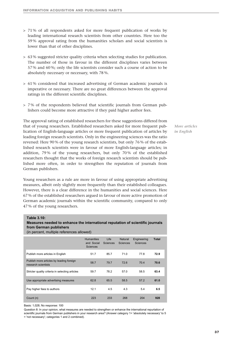- > 71 % of all respondents asked for more frequent publication of works by leading international research scientists from other countries. Here too the 59 % approval rating from the humanities scholars and social scientists is lower than that of other disciplines.
- > 63 % suggested stricter quality criteria when selecting studies for publication. The number of those in favour in the different disciplines varies between 57 % and 60 %; only the life scientists consider such a course of action to be absolutely necessary or necessary, with 78 %.
- > 61 % considered that increased advertising of German academic journals is imperative or necessary. There are no great differences between the approval ratings in the different scientific disciplines.
- > 7 % of the respondents believed that scientific journals from German publishers could become more attractive if they paid higher author fees.

The approval rating of established researchers for these suggestions differed from that of young researchers. Established researchers asked for more frequent publication of English-language articles or more frequent publication of articles by leading foreign research scientists. Only in the engineering sciences was the ratio reversed: Here 90 % of the young research scientists, but only 76 % of the established research scientists were in favour of more English-language articles; in addition, 79 % of the young researchers, but only 70 % of the established researchers thought that the works of foreign research scientists should be published more often, in order to strengthen the reputation of journals from German publishers.

Young researchers as a rule are more in favour of using appropriate advertising measures, albeit only slightly more frequently than their established colleagues. However, there is a clear difference in the humanities and social sciences. Here 67 % of the established researchers argued in favour of more active promotion of German academic journals within the scientific community, compared to only 47 % of the young researchers.

#### **Table 3.10:**

**Measures needed to enhance the international reputation of scientific journals from German publishers** 

(in percent, multiple references allowed)

|                                                                 | <b>Humanities</b><br>and Social<br><b>Sciences</b> | Life<br><b>Sciences</b> | Natural<br><b>Sciences</b> | Engineering<br><b>Sciences</b> | <b>Total</b> |
|-----------------------------------------------------------------|----------------------------------------------------|-------------------------|----------------------------|--------------------------------|--------------|
| Publish more articles in English                                | 51.7                                               | 85.7                    | 71.0                       | 77.8                           | 72.9         |
| Publish more articles by leading foreign<br>research scientists | 58.7                                               | 79.7                    | 72.6                       | 70.4                           | 70.6         |
| Stricter quality criteria in selecting articles                 | 59.7                                               | 78.2                    | 57.0                       | 58.5                           | 63.4         |
| Use appropriate advertising measures                            | 62.8                                               | 65.5                    | 58.5                       | 57.2                           | 61.0         |
| Pay higher fees to authors                                      | 12.1                                               | 4.5                     | 4.3                        | 5.4                            | 6.5          |
| Count (n)                                                       | 223                                                | 233                     | 268                        | 204                            | 928          |

Basis: 1,028; No response: 100

Question 8: In your opinion, what measures are needed to strengthen or enhance the international repurtation of scientific journals from German publishers in your research area? (Answer category 1= 'absolutely necessary' to 5 = 'not necessary'; categories 1 and 2 combined).

*More articles in English*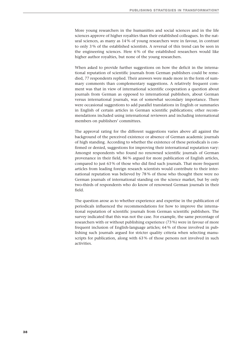More young researchers in the humanities and social sciences and in the life sciences approve of higher royalties than their established colleagues. In the natural sciences, as many as 14 % of young researchers were in favour, in contrast to only 3 % of the established scientists. A reversal of this trend can be seen in the engineering sciences. Here 6 % of the established researchers would like higher author royalties, but none of the young researchers.

When asked to provide further suggestions on how the deficit in the international reputation of scientific journals from German publishers could be remedied, 77 respondents replied. Their answers were made more in the form of summary comments than complementary suggestions. A relatively frequent comment was that in view of international scientific cooperation a question about journals from German as opposed to international publishers, about German versus international journals, was of somewhat secondary importance. There were occasional suggestions to add parallel translations in English or summaries in English of certain articles in German scientific publications; other recommendations included using international reviewers and including international members on publishers' committees.

The approval rating for the different suggestions varies above all against the background of the perceived existence or absence of German academic journals of high standing. According to whether the existence of these periodicals is confirmed or denied, suggestions for improving their international reputation vary: Amongst respondents who found no renowned scientific journals of German provenance in their field, 86 % argued for more publication of English articles, compared to just 63 % of those who did find such journals. That more frequent articles from leading foreign research scientists would contribute to their international reputation was believed by 78 % of those who thought there were no German journals of international standing on the science market, but by only two-thirds of respondents who do know of renowned German journals in their field.

The question arose as to whether experience and expertise in the publication of periodicals influenced the recommendations for how to improve the international reputation of scientific journals from German scientific publishers. The survey indicated that this was not the case. For example, the same percentage of researchers with or without publishing experience (73 %) were in favour of more frequent inclusion of English-language articles; 64 % of those involved in publishing such journals argued for stricter quality criteria when selecting manuscripts for publication, along with 63 % of those persons not involved in such activities.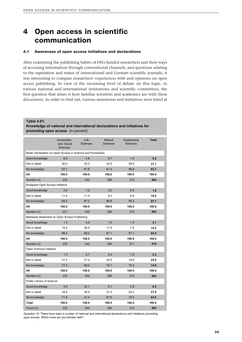## **4 Open access in scientific communication**

#### **4.1 Awareness of open access initiatives and declarations**

After examining the publishing habits of DFG-funded researchers and their ways of accessing information through conventional channels, and questions relating to the reputation and status of international and German scientific journals, it was interesting to compare researchers' experiences with and opinions on open access publishing. In view of the increasing level of debate on this topic, in various national and international institutions and scientific committees, the first question that arises is how familiar scientists and academics are with these discussions. In order to find out, various statements and initiatives were listed at

#### **Table 4.01:**

**Knowledge of national and international declarations and initiatives for promoting open access** (in percent)

|                                                             | <b>Humanities</b><br>and Social<br><b>Sciences</b> | Life<br>Sciences | Natural<br><b>Sciences</b> | Engineering<br><b>Sciences</b> | <b>Total</b> |
|-------------------------------------------------------------|----------------------------------------------------|------------------|----------------------------|--------------------------------|--------------|
| Berlin Declaration on Open Access in Science and Humanities |                                                    |                  |                            |                                |              |
| Good knowledge                                              | 6.9                                                | 4.8              | 6.7                        | 1.9                            | 5.2          |
| Not in detail                                               | 30.0                                               | 33.3             | 32.0                       | 28.4                           | 31.1         |
| No knowledge                                                | 63.1                                               | 61.8             | 61.3                       | 69.8                           | 63.7         |
| All                                                         | 100.0                                              | 100.0            | 100.0                      | 100.0                          | 100.0        |
| Number (n)                                                  | 233                                                | 243              | 295                        | 213                            | 984          |
| <b>Budapest Open Access Initiative</b>                      |                                                    |                  |                            |                                |              |
| Good knowledge                                              | 3.0                                                | 1.2              | 2.0                        | 0.9                            | 1.8          |
| Not in detail                                               | 11.6                                               | 11.5             | 9.2                        | 9.9                            | 10.5         |
| No knowledge                                                | 85.4                                               | 87.2             | 88.8                       | 89.2                           | 87.7         |
| All                                                         | 100.0                                              | 100.0            | 100.0                      | 100.0                          | 100.0        |
| Number (n)                                                  | 231                                                | 245              | 294                        | 213                            | 983          |
| Bethesda Statement on Open Access Publishing                |                                                    |                  |                            |                                |              |
| Good knowledge                                              | 1.3                                                | 4.9              | 1.0                        | 1.4                            | 2.1          |
| Not in detail                                               | 10.4                                               | 26.9             | 11.9                       | 7.5                            | 14.3         |
| No knowledge                                                | 88.3                                               | 68.2             | 87.1                       | 91.1                           | 83.5         |
| All                                                         | 100.0                                              | 100.0            | 100.0                      | 100.0                          | 100.0        |
| Number (n)                                                  | 233                                                | 242              | 293                        | 211                            | 979          |
| Open Archives Initiative                                    |                                                    |                  |                            |                                |              |
| Good knowledge                                              | 1.3                                                | 3.7              | 2.4                        | 1.9                            | 2.3          |
| Not in detail                                               | 21.5                                               | 27.3             | 22.5                       | 19.9                           | 22.9         |
| No knowledge                                                | 77.3                                               | 69.0             | 75.1                       | 78.2                           | 74.8         |
| All                                                         | 100.0                                              | 100.0            | 100.0                      | 100.0                          | 100.0        |
| Number (n)                                                  | 232                                                | 244              | 295                        | 212                            | 983          |
| Public Library of Science                                   |                                                    |                  |                            |                                |              |
| Good knowledge                                              | 3.9                                                | 22.1             | 5.1                        | 2.8                            | 8.5          |
| Not in detail                                               | 24.6                                               | 36.5             | 27.5                       | 22.2                           | 27.9         |
| No knowledge                                                | 71.6                                               | 41.4             | 67.5                       | 75.0                           | 63.6         |
| Total                                                       | 100.0                                              | 100.0            | 100.0                      | 100.0                          | 100.0        |
| Count (n)                                                   | 232                                                | 244              | 295                        | 212                            | 983          |

Question 10: There have been a number of national and international declarations and initiatives promoting open access. Which ones are you familiar with?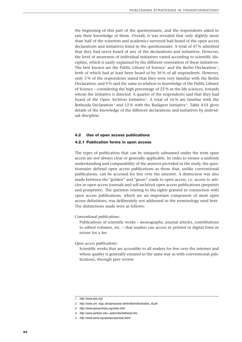the beginning of this part of the questionnaire, and the respondents asked to rate their knowledge of them. Overall, it was revealed that only slightly more than half of the scientists and academics surveyed had heard of the open access declarations and initiatives listed in the questionnaire. A total of 47 % admitted that they had never heard of any of the declarations and initiatives. However, the level of awareness of individual initiatives varied according to scientific discipline, which is easily explained by the different orientation of these initiatives. The best known are the Public Library of Science<sup>1</sup> and the Berlin Declaration<sup>2</sup>, both of which had at least been heard of by 36 % of all respondents. However, only 5 % of the respondents stated that they were very familiar with the Berlin Declaration, and 9 % said the same in relation to knowledge of the Public Library of Science – considering the high percentage of 22 % in the life sciences, towards whom the initiative is directed. A quarter of the respondents said that they had heard of the Open Archives Initiative <sup>3</sup> . A total of 16 % are familiar with the Bethesda Declaration <sup>4</sup> and 12 % with the Budapest Initiative <sup>5</sup>. Table 4.01 gives details of the knowledge of the different declarations and initiatives by individual discipline.

#### **4.2 Use of open access publications**

#### **4.2.1 Publication forms in open access**

The types of publication that can be uniquely subsumed under the term open access are not always clear or generally applicable. In order to ensure a uniform understanding and comparability of the answers provided in the study, the questionnaire defined open access publications as those that, unlike conventional publications, can be accessed for free over the internet. A distinction was also made between the "golden" and "green" roads to open access, i.e. access to articles in open access journals and self-archived open access publications (preprints and postprints). The question relating to the rights granted in connection with open access publications, which are an important component of most open access definitions, was deliberately not addressed in the terminology used here. The distinctions made were as follows:

#### *Conventional publications:*

Publications of scientific works – monographs, journal articles, contributions to edited volumes, etc. – that readers can access in printed or digital form in return for a fee.

#### *Open access publications:*

Scientific works that are accessible to all readers for free over the internet and whose quality is generally ensured in the same way as with conventional publications, through peer review.

*<sup>1.</sup> http://www.plos.org/*

*<sup>2.</sup> http://www.zim. mpg. de/openaccess-berlin/BerlinDeclaration\_dt.pdf*

*<sup>3.</sup> http://www.openarchives.org/index.html*

*<sup>4.</sup> http://www.earlham.edu/~peters/fos/bethesda.htm*

*<sup>5.</sup> http://www.soros.org/openaccess/read.shtml*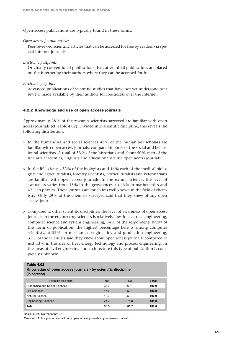Open access publications are typically found in these forms:

#### *Open access journal articles*

Peer-reviewed scientific articles that can be accessed for free by readers via special internet journals.

#### *Electronic postprints*

Originally conventional publications that, after initial publication, are placed on the internet by their authors where they can be accessed for free.

#### *Electronic preprints*

Advanced publications of scientific studies that have not yet undergone peer review, made available by their authors for free access over the internet.

#### **4.2.2 Knowledge and use of open access journals**

Approximately 38 % of the research scientists surveyed are familiar with open access journals (cf. Table 4.02). Divided into scientific discipline, this reveals the following distribution:

- > In the humanities and social sciences 42 % of the humanities scholars are familiar with open access journals, compared to 36 % of the social and behavioural scientists. A total of 53 % of the historians and about 50 % each of the fine arts academics, linguists and educationalists use open access journals.
- > In the life sciences 52 % of the biologists and 46 % each of the medical biologists and agriculturalists, forestry scientists, horticulturalists and veterinarians are familiar with open access journals. In the natural sciences the level of awareness varies from 43 % in the geosciences, to 46 % in mathematics and 47 % in physics. These journals are much less well known in the field of chemistry. Only 29 % of the chemists surveyed said that they knew of any open access journals.
- > Compared to other scientific disciplines, the level of awareness of open access journals in the engineering sciences is relatively low. In electrical engineering, computer science and system engineering, 34 % of the respondents know of this form of publication; the highest percentage here is among computer scientists, at 51 %. In mechanical engineering and production engineering, 31 % of the scientists said they knew about open access journals, compared to just 13% in the area of heat energy technology and process engineering. In the areas of civil engineering and architecture this type of publication is completely unknown.

#### **Table 4.02**

| Knowledge of open access journals - by scientific discipline<br>(in percent) |      |           |       |  |  |  |
|------------------------------------------------------------------------------|------|-----------|-------|--|--|--|
| Scientific discipline                                                        | Yes  | <b>No</b> | Total |  |  |  |
| Humanities and Social Sciences                                               | 38.9 | 61.1      | 100.0 |  |  |  |
| Life Sciences                                                                | 47.6 | 52.4      | 100.0 |  |  |  |
| Natural Science                                                              | 40.3 | 59.7      | 100.0 |  |  |  |
| <b>Engineering Sciences</b>                                                  | 24.2 | 75.8      | 100.0 |  |  |  |
| Total                                                                        | 38.3 | 61.7      | 100.0 |  |  |  |

Basis: 1,028; No response: 32

Question 11: Are you familiar with any open access journals in your research area?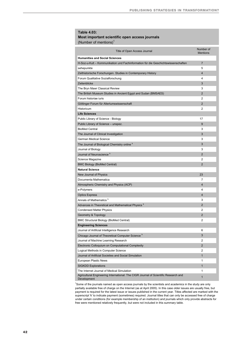#### **Table 4.03: Most important scientific open access journals**

(Number of mentions)<sup>1</sup>

| Title of Open Access Journal                                                        | Number of<br><b>Mentions</b> |
|-------------------------------------------------------------------------------------|------------------------------|
| <b>Humanities and Social Sciences</b>                                               |                              |
| H-Soz-u-Kult - Kommunikation und Fachinformation für die Geschichtswissenschaften   | $\overline{7}$               |
| sehepunkte                                                                          | 5                            |
| Zeithistorische Forschungen. Studies in Contemporary History                        | $\overline{4}$               |
| Forum Qualitative Sozialforschung                                                   | 4                            |
| Zeitenblicke                                                                        | 3                            |
| The Bryn Mawr Classical Review                                                      | 3                            |
| The British Museum Studies in Ancient Egypt and Sudan (BMSAES)                      | $\overline{2}$               |
| Forum historiae juris                                                               | $\overline{2}$               |
| Göttinger Forum für Altertumswissenschaft                                           | $\overline{2}$               |
| Historicum                                                                          | $\overline{2}$               |
| <b>Life Sciences</b>                                                                |                              |
| Public Library of Science - Biology                                                 | 17                           |
| Public Library of Science - unspez.                                                 | 9                            |
| <b>BioMed Central</b>                                                               | 3                            |
| The Journal of Clinical Investigation                                               | 3                            |
| <b>German Medical Science</b>                                                       | 3                            |
| The Journal of Biological Chemistry online k                                        | 3                            |
| Journal of Biology                                                                  | 3                            |
| Journal of Neuroscience <sup>k</sup>                                                | $\overline{2}$               |
| Science Magazine                                                                    | 2                            |
| <b>BMC Biology (BioMed Central)</b>                                                 | $\overline{2}$               |
| <b>Natural Science</b>                                                              |                              |
| New Journal of Physics                                                              | 23                           |
| Documenta Mathematica                                                               | 7                            |
| Atmospheric Chemistry and Physics (ACP)                                             | $\overline{4}$               |
| e-Polymers                                                                          | 4                            |
| <b>Optics Express</b>                                                               | $\overline{4}$               |
| Annals of Mathematics <sup>k</sup>                                                  | 3                            |
| Advances in Theoretical and Mathematical Physics k                                  | $\overline{2}$               |
| <b>Condensed Matter Physics</b>                                                     | 2                            |
| Geometry & Topology                                                                 | $\overline{2}$               |
| <b>BMC Structural Biology (BioMed Central)</b>                                      | 2                            |
| <b>Engineering Sciences</b>                                                         |                              |
| Journal of Artificial Intelligence Research                                         | 6                            |
| Chicago Journal of Theoretical Computer Science <sup>k</sup>                        | 3                            |
| Journal of Machine Learning Research                                                | $\overline{2}$               |
| Electronic Colloquium on Computational Complexity                                   | $\overline{2}$               |
| Logical Methods in Computer Science                                                 | 2                            |
| Journal of Artificial Societies and Social Simulation                               | $\mathbf{1}$                 |
| European Plastic News                                                               | 1                            |
| <b>SIGKDD Explorations</b>                                                          | $\mathbf{1}$                 |
| The Internet Journal of Medical Simulation                                          | 1                            |
| Agricultural Engineering International: The CIGR Journal of Scientific Research and |                              |

1 Some of the journals named as open access journals by the scientists and academics in the study are only partially available free of charge on the Internet (as at April 2005). In this case older issues are usually free, but payment is required for the latest issue or issues published in the current year. Titles affected are marked with the superscript 'k' to indicate payment (sometimes) required. Journal titles that can only be accessed free of charge under certain conditions (for example membership of an institution) and journals which only provide abstracts for free were mentioned relatively frequently, but were not included in this summary table.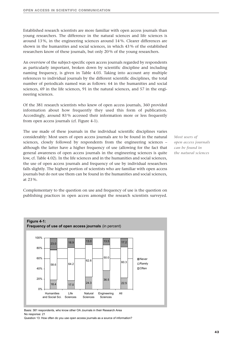Established research scientists are more familiar with open access journals than young researchers. The difference in the natural sciences and life sciences is around 13 %, in the engineering sciences around 14 %. Clearer differences are shown in the humanities and social sciences, in which 43 % of the established researchers know of these journals, but only 20 % of the young researchers.

An overview of the subject-specific open access journals regarded by respondents as particularly important, broken down by scientific discipline and including naming frequency, is given in Table 4.03. Taking into account any multiple references to individual journals by the different scientific disciplines, the total number of periodicals named was as follows: 64 in the humanities and social sciences, 69 in the life sciences, 91 in the natural sciences, and 57 in the engineering sciences.

Of the 381 research scientists who knew of open access journals, 360 provided information about how frequently they used this form of publication. Accordingly, around 83 % accessed their information more or less frequently from open access journals (cf. Figure 4-1).

The use made of these journals in the individual scientific disciplines varies considerably: Most users of open access journals are to be found in the natural sciences, closely followed by respondents from the engineering sciences – although the latter have a higher frequency of use (allowing for the fact that general awareness of open access journals in the engineering sciences is quite low, cf. Table 4.02). In the life sciences and in the humanities and social sciences, the use of open access journals and frequency of use by individual researchers falls slightly. The highest portion of scientists who are familiar with open access journals but do not use them can be found in the humanities and social sciences, at 23 %.

*Most users of open access journals can be found in the natural sciences*

Complementary to the question on use and frequency of use is the question on publishing practices in open access amongst the research scientists surveyed.



Basis: 381 respondents, who know other OA Journals in their Research Area No response: 21

Question 13: How often do you use open access journals as a source of information?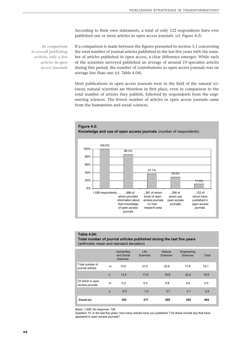According to their own statements, a total of only 122 respondents have ever published one or more articles in open access journals. (cf. Figure 4-2)

*In comparison to overall publishing activity, only a few articles in open access journals* If a comparison is made between the figures presented in section 3.1 concerning the total number of journal articles published in the last five years with the number of articles published in open access, a clear difference emerges: While each of the scientists surveyed published an average of around 19 specialist articles during this period, the number of contributions to open access journals was on average less than one (cf. Table 4.04).

Most publications in open access journals were in the field of the natural sciences; natural scientists are therefore in first place, even in comparison to the total number of articles they publish, followed by respondents from the engineering sciences. The fewest number of articles in open access journals came from the humanities and social sciences.



**Figure 4-2: Knowledge and use of open access journals** (number of respondents)

#### **Table 4.04:**

#### **Total number of journal articles published during the last five years**  (arithmetic mean and standard deviation)

|                                     |   | <b>Humanities</b><br>and Social<br><b>Sciences</b> | Life<br>Sciences | Natural<br>Sciences | Engineering<br><b>Sciences</b> | Total |
|-------------------------------------|---|----------------------------------------------------|------------------|---------------------|--------------------------------|-------|
| Total number of<br>journal articles | m | 13.0                                               | 21.0             | 22.9                | 17.9                           | 19.1  |
|                                     | s | 13.3                                               | 17.6             | 19.8                | 20.5                           | 18.5  |
| Of which in open<br>access journals | m | 0.2                                                | 0.3              | 0.8                 | 0.6                            | 0.5   |
|                                     | s | 0.5                                                | 1.5              | 3.7                 | 2.1                            | 2.4   |
| Count (n)                           |   | 203                                                | 217              | 280                 | 202                            | 902   |

Basis: 1,028; No response: 126

Question 14: In the last five years: how many articles have you published ? Do these include any that have appeared in open access journals?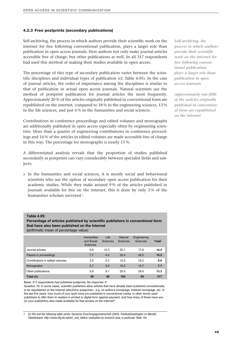#### **4.2.3 Free postprints (secondary publications)**

Self-archiving, the process in which authors provide their scientific work on the internet for free following conventional publication, plays a larger role than publication in open access journals. Here authors not only make journal articles accessible free of charge, but other publications as well. In all 317 respondents had used this method of making their studies available in open access.

The percentage of this type of secondary publication varies between the scientific disciplines and individual types of publication (cf. Table 4.05). In the case of journal articles, the order of importance among the disciplines is similar to that of publication in actual open access journals. Natural scientists use the method of postprint publication for journal articles the most frequently. Approximately 20 % of the articles originally published in conventional form are republished on the internet, compared to 18 % in the engineering sciences, 13 % in the life sciences, and just 6 % in the humanities and social sciences.

Contributions in conference proceedings and edited volumes and monographs are additionally published in open access especially often by engineering scientists. More than a quarter of engineering contributions in conference proceedings and 16 % of the articles in edited volumes are made accessible free of charge in this way. The percentage for monographs is nearly 15 %.

A differentiated analysis reveals that the proportion of studies published secondarily as postprints can vary considerably between specialist fields and subjects:

> In the humanities and social sciences, it is mostly social and behavioural scientists who use the option of secondary open access publication for their academic studies. While they make around 9 % of the articles published in journals available for free on the internet, this is done by only 3 % of the humanities scholars surveyed <sup>1</sup>.

#### **Table 4.05:**

**Percentage of articles published by scientific publishers in conventional form that have also been published on the Internet** 

**(**arithmetic mean of percentage value)

|                                 | <b>Humanities</b><br>and Social<br><b>Sciences</b> | Life<br><b>Sciences</b> | Natural<br>Sciences | Engineering<br>Sciences | <b>Total</b> |
|---------------------------------|----------------------------------------------------|-------------------------|---------------------|-------------------------|--------------|
| Journal articles                | 5.9                                                | 12.3                    | 20.1                | 17.6                    | 14.4         |
| Papers in proceedings           | 7.7                                                | 4.4                     | 20.4                | 26.0                    | 16.5         |
| Contributions in edited volumes | 3.5                                                | 4.5                     | 12.9                | 16.2                    | 8.6          |
| Monographs                      | 2.7                                                | 5.4                     | 15.0                | 14.7                    | 7.7          |
| Other publications              | 5.9                                                | 9.1                     | 20.0                | 28.6                    | 13.3         |
| Total (n)                       | 59                                                 | 60                      | 104                 | 94                      | 317          |

Basis: 317 respondents had published postprints; No response: 0

Question 16: In some cases, scientific publishers allow articles that have already been published conventionally to be republished on the Internet (electronic postprints) - e.g. on author's homepage, institute homepage, etc. In the last five years: how much of your work have you published in conventional media, in other words used publishers to offer them to readers in printed or digital form against payment, and how many of these have you (or your publishers) also made available for free access on the Internet?

*1. On this and the following table series: Deutsche Forschungsgemeinschaft (2005). Publikationsstragien im Wandel. Tabellenband. http://www.dfg.de/zahlen\_und\_fakten/ evaluation by research area, in particular Table 16c*

*Self-archiving, the process in which authors provide their scientific work on the internet for free following conventional publication, plays a larger role than publication in open access journals*

*Approximately one-fifth of the articles originally published in conventional form are republished on the internet*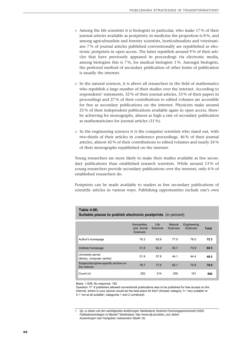- > Among the life scientists it is biologists in particular, who make 17 % of their journal articles available as postprints; in medicine the proportion is 8 %, and among agriculturalists and forestry scientists, horticulturalists and veterinarians 7 % of journal articles published conventionally are republished as electronic postprints in open access. The latter republish around 9 % of their articles that have previously appeared in proceedings via electronic media, among biologists this is 7 %, for medical biologists 1 %. Amongst biologists, the preferred method of secondary publication of other forms of publication is usually the internet.
- > In the natural sciences, it is above all researchers in the field of mathematics who republish a large number of their studies over the internet. According to respondents' statements, 32 % of their journal articles, 33 % of their papers in proceedings and 27 % of their contributions to edited volumes are accessible for free as secondary publications on the internet. Physicists make around 25 % of their independent publications available again in open access, thereby achieving for monographs, almost as high a rate of secondary publication as mathematicians for journal articles (31 %).
- > In the engineering sciences it is the computer scientists who stand out, with two-thirds of their articles in conference proceedings, 46 % of their journal articles, almost 42 % of their contributions to edited volumes and nearly 24 % of their monographs republished on the internet.

Young researchers are more likely to make their studies available as free secondary publications than established research scientists. While around 13 % of young researchers provide secondary publications over the internet, only 6 % of established researchers do.

Postprints can be made available to readers as free secondary publications of scientific articles in various ways. Publishing opportunities include one's own

| <b>Suitable places to publish electronic postprints</b> (in percent) |                                                    |                         |                            |                         |       |  |  |  |  |  |
|----------------------------------------------------------------------|----------------------------------------------------|-------------------------|----------------------------|-------------------------|-------|--|--|--|--|--|
|                                                                      | <b>Humanities</b><br>and Social<br><b>Sciences</b> | Life<br><b>Sciences</b> | Natural<br><b>Sciences</b> | Engineering<br>Sciences | Total |  |  |  |  |  |
| Author's homepage                                                    | 70.3                                               | 63.6                    | 77.0                       | 78.0                    | 72.3  |  |  |  |  |  |
| Institute homepage                                                   | 51.6                                               | 62.4                    | 55.7                       | 73.9                    | 60.5  |  |  |  |  |  |
| University server<br>(library, computer centre)                      | 51.9                                               | 57.8                    | 44.1                       | 44.4                    | 49.5  |  |  |  |  |  |
| Subject/discipline-specific archive on<br>the Internet               | 79.7                                               | 77.6                    | 82.1                       | 70.8                    | 78.0  |  |  |  |  |  |
| Count (n)                                                            | 202                                                | 214                     | 259                        | 191                     | 866   |  |  |  |  |  |

#### **Table 4.06:**

#### **Suitable places to publish electronic postprints** (in percent)

Basis: 1,028; No response: 162

Question 17: If publishers allowed conventional publications also to be published for free access on the Internet, where in your opinion would be the best place for this? (Answer category 1= 'very suitable' to 5 = 'not at all suitable'; categories 1 and 2 combined).

*<sup>1.</sup> Vgl. zu diesen und den nachfolgenden Ausführungen Tabellenband: Deutsche Forschungsgemeinschaft (2005). Publikationsstrategien im Wandel? Tabellenband. http://www.dfg.de/zahlen\_und\_fakten/ Auswertungen nach Fachgebiet, insbesondere Tabelle 16c*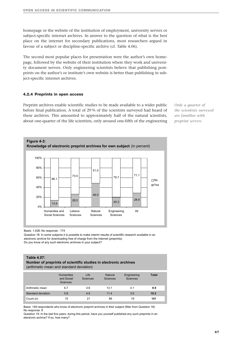homepage or the website of the institution of employment, university servers or subject-specific internet archives. In answer to the question of what is the best place on the internet for secondary publications, most researchers argued in favour of a subject or discipline-specific archive (cf. Table 4.06).

The second most popular places for presentation were the author's own homepage, followed by the website of their institution where they work and university document servers. Only engineering scientists believe that publishing postprints on the author's or institute's own website is better than publishing in subject-specific internet archives.

#### **4.2.4 Preprints in open access**

Preprint archives enable scientific studies to be made available to a wider public before final publication. A total of 29 % of the scientists surveyed had heard of these archives. This amounted to approximately half of the natural scientists, about one-quarter of the life scientists, only around one-fifth of the engineering *Only a quarter of the scientists surveyed are familiar with preprint servers*



Basis: 1.028; No response : 174

Question 18: In some subjects it is possible to make interim results of scientific research available in an electronic archive for downloading free of charge from the Internet (preprints). Do you know of any such electronic archives in your subject?

#### **Table 4.07:**

| Number of preprints of scientific studies in electronic archives |  |
|------------------------------------------------------------------|--|
| (arithmetic mean and standard deviation)                         |  |

|                           | <b>Humanities</b><br>and Social<br><b>Sciences</b> | Life<br><b>Sciences</b> | Natural<br><b>Sciences</b> | Engineering<br><b>Sciences</b> | <b>Total</b> |
|---------------------------|----------------------------------------------------|-------------------------|----------------------------|--------------------------------|--------------|
| Arithmetic mean           | 6.7                                                | 4.6                     | 13.1                       | 4.1                            | 9.9          |
| <b>Standard deviation</b> | 5.8                                                | 4.9                     | 11.4                       | 3.0                            | 10.2         |
| Count (n)                 | 15                                                 | 21                      | 86                         | 19                             | 141          |

Basis: 149 respondents who know of electronic preprint archives in their subject (filter from Question 18) No response: 8

Question 19: In the last five years: during this period, have you yourself published any such preprints in an electronic archive? If so, how many?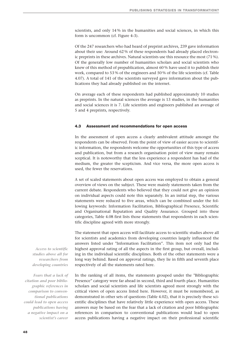scientists, and only 14 % in the humanities and social sciences, in which this form is uncommon (cf. Figure 4-3).

Of the 247 researchers who had heard of preprint archives, 239 gave information about their use: Around 62 % of these respondents had already placed electronic preprints in these archives. Natural scientists use this resource the most (71 %). Of the generally low number of humanities scholars and social scientists who knew of this method of prepublication, almost 60 % have used it to publish their work, compared to 53 % of the engineers and 50 % of the life scientists (cf. Table 4.07). A total of 141 of the scientists surveyed gave information about the publications they had already published on the internet.

On average each of these respondents had published approximately 10 studies as preprints. In the natural sciences the average is 13 studies, in the humanities and social sciences it is 7. Life scientists and engineers published an average of 5 and 4 preprints, respectively.

#### **4.3 Assessment and recommendations for open access**

In the assessment of open access a clearly ambivalent attitude amongst the respondents can be observed. From the point of view of easier access to scientific information, the respondents welcome the opportunities of this type of access and publication, but from a research organisation point of view many remain sceptical. It is noteworthy that the less experience a respondent has had of the medium, the greater the scepticism. And vice versa, the more open access is used, the fewer the reservations.

A set of scaled statements about open access was employed to obtain a general overview of views on the subject. These were mainly statements taken from the current debate. Respondents who believed that they could not give an opinion on individual aspects could note this separately. In an initial step, the various statements were reduced to five areas, which can be combined under the following keywords: Information Facilitation, Bibliographical Presence, Scientific and Organisational Reputation and Quality Assurance. Grouped into these categories, Table 4.08 first lists those statements that respondents in each scientific discipline agreed with more strongly.

The statement that open access will facilitate access to scientific studies above all for scientists and academics from developing countries largely influenced the answers listed under "Information Facilitation". This item not only had the highest approval rating of all the aspects in the first group, but overall, including in the individual scientific disciplines. Both of the other statements were a long way behind. Based on approval ratings, they lie in fifth and seventh place respectively of all the statements rated here.

*Fears that a lack of citation and poor bibliographic references in comparison to conventional publications could lead to open access publications having a negative impact on a scientist's career*

*Access to scientific studies above all for researchers from developing countries*

> In the ranking of all items, the statements grouped under the "Bibliographic Presence" category were far ahead in second, third and fourth place. Humanities scholars and social scientists and life scientists agreed most strongly with the critical views of open access listed here. However, it must be remembered, as demonstrated in other sets of questions (Table 4.02), that it is precisely these scientific disciplines that have relatively little experience with open access. These answers may be based on the fear that a lack of citation and poor bibliographic references in comparison to conventional publications would lead to open access publications having a negative impact on their professional scientific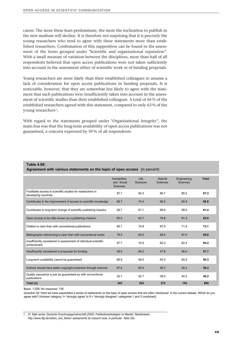career. The more these fears predominate, the more the inclination to publish in the new medium will decline. It is therefore not surprising that it is precisely the young researchers who tend to agree with these statements more than established researchers. Confirmation of this supposition can be found in the assessment of the items grouped under "Scientific and organisational reputation". With a small measure of variation between the disciplines, more than half of all respondents believed that open access publications were not taken sufficiently into account in the assessment either of scientific work or of funding proposals.

Young researchers are more likely than their established colleagues to assume a lack of consideration for open access publications in funding proposals. It is noticeable, however, that they are somewhat less likely to agree with the statement that such publications were insufficiently taken into account in the assessment of scientific studies than their established colleagues. A total of 66 % of the established researchers agreed with this statement, compared to only 63 % of the young researchers<sup>1</sup>.

With regard to the statements grouped under "Organisational Integrity", the main fear was that the long-term availability of open access publications was not guaranteed, a concern expressed by 59 % of all respondents.

#### **Table 4.08:**

#### **Agreement with various statements on the topic of open access** (in percent)

|                                                                                     | <b>Humanities</b><br>and Social<br><b>Sciences</b> | Life<br><b>Sciences</b> | Natural<br><b>Sciences</b> | Engineering<br><b>Sciences</b> | <b>Total</b> |
|-------------------------------------------------------------------------------------|----------------------------------------------------|-------------------------|----------------------------|--------------------------------|--------------|
| Facilitates access to scientific studies for researchers in<br>developing countries | 87.1                                               | 90.3                    | 86.7                       | 85.0                           | 87.3         |
| Contributes to the improvement of access to scientific knowledge                    | 68.7                                               | 74.4                    | 66.5                       | 65.9                           | 68.8         |
| Contributes to long-term change of scientific publishing industry                   | 56.7                                               | 61.1                    | 66.8                       | 58.6                           | 61.4         |
| Open access is too little known as a publishing medium                              | 85.0                                               | 82.7                    | 79.8                       | 81.3                           | 82.0         |
| Citation is rarer than with conventional publications                               | 80.1                                               | 74.8                    | 67.0                       | 71.4                           | 73.1         |
| Bibliographic referencing is rarer than with conventional works                     | 78.5                                               | 65.5                    | 66.5                       | 67.9                           | 69.8         |
| Insufficiently considered in assessment of individual scientific<br>achievement     | 67.7                                               | 70.9                    | 60.3                       | 62.4                           | 65.2         |
| Insufficiently considered in proposals for funding                                  | 59.5                                               | 68.2                    | 47.8                       | 56.0                           | 57.7         |
| Long-term availability cannot be quaranteed                                         | 66.9                                               | 56.5                    | 55.3                       | 59.3                           | 59.3         |
| Authors should have better copyright protection through licences                    | 67.4                                               | 60.0                    | 56.3                       | 49.2                           | 58.2         |
| Quality assurance is just as guaranteed as with conventional<br>publications        | 30.1                                               | 52.7                    | 38.9                       | 40.3                           | 40.2         |
| Total (n)                                                                           | 203                                                | 222                     | 272                        | 193                            | 890          |

Basis: 1,028; No response: 138

Question 20: Here we have assembled a series of statements on the topic of open access that are often mentioned in the current debate. Which do you agree with? (Answer category 1= 'strongly agree' to 5 = 'strongly disagree'; categories 1 and 2 combined).

*1. Cf. Table series: Deutsche Forschungsgemeinschaft (2005). Publikationsstrategien im Wandel. Tabellenband. http://www.dfg.de/zahlen\_und\_fakten/ assessments by research area, in particular Table 20a*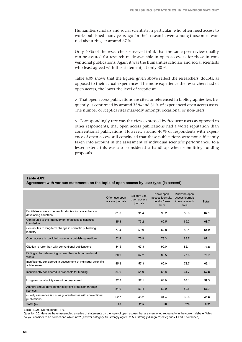Humanities scholars and social scientists in particular, who often need access to works published many years ago for their research, were among those most worried about this, at around 67 %.

Only 40 % of the researchers surveyed think that the same peer review quality can be assured for research made available in open access as for those in conventional publications. Again it was the humanities scholars and social scientists who least agreed with this statement, at only 30 %.

Table 4.09 shows that the figures given above reflect the researchers' doubts, as opposed to their actual experiences. The more experience the researchers had of open access, the lower the level of scepticism.

> That open access publications are cited or referenced in bibliographies less frequently, is confirmed by around 35 % and 31 % of experienced open access users. The number of sceptics rises markedly amongst occasional or non-users.

> Correspondingly rare was the view expressed by frequent users as opposed to other respondents, that open access publications had a worse reputation than conventional publications. However, around 46 % of respondents with experience of open access still concluded that these publications were not sufficiently taken into account in the assessment of individual scientific performance. To a lesser extent this was also considered a handicap when submitting funding proposals.

#### **Table 4.09:**

#### **Agreement with various statements on the topic of open access by user type** (in percent)

|                                                                                     | Often use open<br>access journals | Seldom use<br>open access<br>journals | Know open<br>access journals,<br>but don't use<br>them | Know no open<br>access journals<br>in my research<br>area | <b>Total</b> |
|-------------------------------------------------------------------------------------|-----------------------------------|---------------------------------------|--------------------------------------------------------|-----------------------------------------------------------|--------------|
| Facilitates access to scientific studies for researchers in<br>developing countries | 81.3                              | 91.4                                  | 95.2                                                   | 85.3                                                      | 87.1         |
| Contributes to the improvement of access to scientific<br>knowledge                 | 85.3                              | 73.2                                  | 60.5                                                   | 65.2                                                      | 68.7         |
| Contributes to long-term change in scientific publishing<br>industry                | 77.4                              | 59.9                                  | 62.8                                                   | 59.1                                                      | 61.2         |
| Open access is too little known as a publishing medium                              | 52.4                              | 75.9                                  | 78.3                                                   | 88.7                                                      | 82.1         |
| Citation is rarer than with conventional publications                               | 34.5                              | 67.3                                  | 90.0                                                   | 82.1                                                      | 73.8         |
| Bibliographic referencing is rarer than with conventional<br>works                  | 30.9                              | 67.2                                  | 88.5                                                   | 77.8                                                      | 70.7         |
| Insufficiently considered in assessment of individual scientific<br>achievement     | 45.8                              | 57.3                                  | 60.0                                                   | 72.7                                                      | 65.1         |
| Insufficiently considered in proposals for funding                                  | 34.9                              | 51.9                                  | 68.8                                                   | 64.7                                                      | 57.8         |
| Long-term availability cannot be guaranteed                                         | 37.3                              | 57.1                                  | 64.9                                                   | 63.1                                                      | 59.3         |
| Authors should have better copyright protection through<br>licences                 | 54.0                              | 53.4                                  | 62.9                                                   | 59.6                                                      | 57.7         |
| Quality assurance is just as guaranteed as with conventional<br>publications        | 62.7                              | 45.2                                  | 34.4                                                   | 32.8                                                      | 40.0         |
| Total (n)                                                                           | 69                                | 205                                   | 50                                                     | 528                                                       | 852          |

Basis: 1,028; No response: 176

Question 20: Here we have assembled a series of statements on the topic of open access that are mentioned repeatedly in the current debate. Which do you consider to be correct and which not? (Answer category 1= 'strongly agree' to 5 = 'strongly disagree'; categories 1 and 2 combined).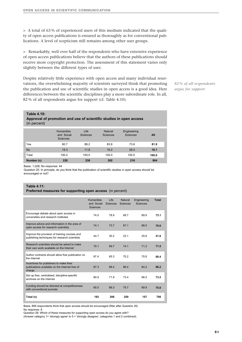> A total of 63 % of experienced users of this medium indicated that the quality of open access publications is ensured as thoroughly as for conventional publications. A level of scepticism still remains among other user groups.

> Remarkably, well over half of the respondents who have extensive experience of open access publications believe that the authors of these publications should receive more copyright protection. The assessment of this statement varies only slightly between the different types of user.

Despite relatively little experience with open access and many individual reservations, the overwhelming majority of scientists surveyed think that promoting the publication and use of scientific studies in open access is a good idea. Here differences between the scientific disciplines play a more subordinate role. In all, 82 % of all respondents argue for support (cf. Table 4.10).

*82 % of all respondents argue for support*

#### **Approval of promotion and use of scientific studies in open access** (in percent)

|            | <b>Humanities</b><br>and Social<br><b>Sciences</b> | Life<br><b>Sciences</b> | Natural<br><b>Sciences</b> | Engineering<br><b>Sciences</b> | All   |
|------------|----------------------------------------------------|-------------------------|----------------------------|--------------------------------|-------|
| Yes        | 80.7                                               | 88.2                    | 83.8                       | 73.6                           | 81.9  |
| <b>No</b>  | 19.3                                               | 11.8                    | 16.2                       | 26.4                           | 18.1  |
| Total      | 100.0                                              | 100.0                   | 100.0                      | 100.0                          | 100.0 |
| Number (n) | 228                                                | 238                     | 302                        | 216                            | 984   |

Basis: 1,028; No response: 44

**Table 4.10:**

Question 25: In principle, do you think that the publication of scientific studies in open access should be encouraged or not?

#### **Table 4.11: Preferred measures for supporting open access** (in percent)

|                                                                                                     | <b>Humanities</b><br>and Social<br><b>Sciences</b> | Life<br><b>Sciences</b> | <b>Natural</b><br><b>Sciences</b> | Engineering<br>Sciences | Total |
|-----------------------------------------------------------------------------------------------------|----------------------------------------------------|-------------------------|-----------------------------------|-------------------------|-------|
| Encourage debate about open access in<br>universities and research institutes                       | 74.0                                               | 78.9                    | 69.7                              | 69.9                    | 73.1  |
| Improve advice and information in the area of<br>open access for research scientists                | 74.1                                               | 73.7                    | 67.1                              | 68.0                    | 70.6  |
| Improve the provision of training courses and<br>publishing techniques for research scientists      | 44.7                                               | 35.2                    | 23.1                              | 25.8                    | 41.6  |
| Research scientists should be asked to make<br>their own work available on the Internet             | 70.1                                               | 69.7                    | 74.1                              | 71.2                    | 71.5  |
| Author contracts should allow free publication on<br>the Internet                                   | 67.4                                               | 65.3                    | 70.2                              | 70.6                    | 68.4  |
| Incentives for publishers to make their<br>publications available on the Internet free of<br>charge | 87.3                                               | 86.4                    | 86.4                              | 84.2                    | 86.2  |
| Set up free, centralised, discipline-specific<br>archives on the Internet                           | 80.9                                               | 71.9                    | 73.4                              | 66.0                    | 73.2  |
| Funding should be directed at competitiveness<br>with conventional journals                         | 65.5                                               | 86.3                    | 75.7                              | 69.9                    | 75.0  |
| Total (n)                                                                                           | 183                                                | 208                     | 250                               | 157                     | 798   |

Basis: 806 respondents think that open access should be encouraged (filter after Question 25) No response: 8

Question 26: Which of these measures for supporting open access do you agree with?

(Answer category 1= 'strongly agree' to 5 = 'strongly disagree'; categories 1 and 2 combined).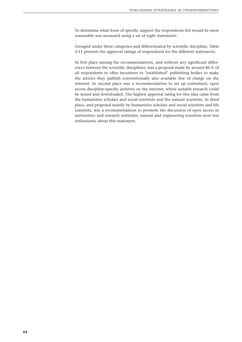To determine what form of specific support the respondents felt would be most reasonable was measured using a set of eight statements.

Grouped under these categories and differentiated by scientific discipline, Table 4.11 presents the approval ratings of respondents for the different statements.

In first place among the recommendations, and without any significant differences between the scientific disciplines, was a proposal made by around 86 % of all respondents to offer incentives to "established" publishing bodies to make the articles they publish conventionally also available free of charge on the internet. In second place was a recommendation to set up centralised, open access discipline-specific archives on the internet, where suitable research could be stored and downloaded. The highest approval rating for this idea came from the humanities scholars and social scientists and the natural scientists. In third place, and proposed mainly by humanities scholars and social scientists and life scientists, was a recommendation to promote the discussion of open access in universities and research institutes; natural and engineering scientists were less enthusiastic about this statement.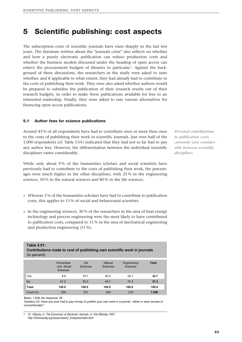### **5 Scientific publishing: cost aspects**

The subscription costs of scientific journals have risen sharply in the last few years. The literature written about the "journals crisis" also reflects on whether and how a purely electronic publication can reduce production costs and whether the business models discussed under the heading of open access can relieve the procurement budgets of libraries in particular<sup>1</sup>. Against the background of these discussions, the researchers in the study were asked to state whether, and if applicable to what extent, they had already had to contribute to the costs of publishing their work. They were also asked whether authors would be prepared to subsidise the publication of their research results out of their research budgets, in order to make these publications available for free to an interested readership. Finally, they were asked to rate various alternatives for financing open access publications.

#### **5.1 Author fees for science publications**

Around 43 % of all respondents have had to contribute once or more than once to the costs of publishing their work in scientific journals. Just over half of the 1,000 respondents (cf. Table 5.01) indicated that they had not so far had to pay any author fees. However, the differentiation between the individual scientific disciplines varies considerably.

While only about 9% of the humanities scholars and social scientists have previously had to contribute to the costs of publishing their work, the percentages were much higher in the other disciplines, with 25 % in the engineering sciences, 50 % in the natural sciences and 80 % in the life sciences.

- > Whereas 3 % of the humanities scholars have had to contribute to publication costs, this applies to 13 % of social and behavioural scientists.
- > In the engineering sciences, 30 % of the researchers in the area of heat energy technology and process engineering were the most likely to have contributed to publication costs, compared to 11 % in the area of mechanical engineering and production engineering (11 %).

| (in percent) |                                                    |                  |                            |                                |              |
|--------------|----------------------------------------------------|------------------|----------------------------|--------------------------------|--------------|
|              |                                                    |                  |                            |                                |              |
|              | <b>Humanities</b><br>and Social<br><b>Sciences</b> | Life<br>Sciences | Natural<br><b>Sciences</b> | Engineering<br><b>Sciences</b> | <b>Total</b> |
| Yes          | 8.8                                                | 79.7             | 50.3                       | 24.7                           | 42.7         |
| <b>No</b>    | 91.2                                               | 20.3             | 49.7                       | 75.3                           | 57.3         |
| <b>Total</b> | 100.0                                              | 100.0            | 100.0                      | 100.0                          | 100.0        |

**Contributions made to cost of publishing own scientific work in journals**

Basis: 1,028; No response: 28

**Table 5.01:**

Question 22: Have you ever had to pay money to publish your own work in a journal - either in open access or conventionally?

Count (n) 226 251 304 219 **1.000**

*Personal contributions to publication costs currently vary considerably between scientific disciplines*

*<sup>1.</sup> Cf.: Odlyzko, A.: The Economics of Electronic Journals. in: First Monday 1997. http://firstmonday.org/issues/issue2\_8/odlyzko/index.html*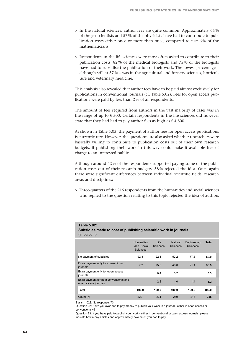- > In the natural sciences, author fees are quite common. Approximately 64 % of the geoscientists and 57 % of the physicists have had to contribute to publication costs either once or more than once, compared to just 6 % of the mathematicians.
- > Respondents in the life sciences were most often asked to contribute to their publication costs: 82 % of the medical biologists and 75 % of the biologists have had to subsidise the publication of their work. The lowest percentage – although still at 57 % – was in the agricultural and forestry sciences, horticulture and veterinary medicine.

This analysis also revealed that author fees have to be paid almost exclusively for publications in conventional journals (cf. Table 5.02). Fees for open access publications were paid by less than 2 % of all respondents.

The amount of fees required from authors in the vast majority of cases was in the range of up to  $\epsilon$  500. Certain respondents in the life sciences did however state that they had had to pay author fees as high as  $\epsilon$  4,800.

As shown in Table 5.03, the payment of author fees for open access publications is currently rare. However, the questionnaire also asked whether researchers were basically willing to contribute to publication costs out of their own research budgets, if publishing their work in this way could make it available free of charge to an interested public.

Although around 42 % of the respondents supported paying some of the publication costs out of their research budgets, 58 % rejected the idea. Once again there were significant differences between individual scientific fields, research areas and disciplines:

> Three-quarters of the 216 respondents from the humanities and social sciences who replied to the question relating to this topic rejected the idea of authors

#### **Table 5.02: Subsidies made to cost of publishing scientific work in journals**

(in percent)

|                                                                 | <b>Humanities</b><br>and Social<br><b>Sciences</b> | Life<br><b>Sciences</b> | Natural<br><b>Sciences</b> | Engineering<br><b>Sciences</b> | <b>Total</b> |
|-----------------------------------------------------------------|----------------------------------------------------|-------------------------|----------------------------|--------------------------------|--------------|
| No payment of subsidies                                         | 92.8                                               | 22.1                    | 52.2                       | 77.5                           | 60.0         |
| Extra payment only for conventional<br>journals                 | 7.2                                                | 75.3                    | 46.0                       | 21.1                           | 38.5         |
| Extra payment only for open access<br>journals                  |                                                    | 0.4                     | 0.7                        |                                | 0.3          |
| Extra payment for both conventional and<br>open access journals |                                                    | 2.2                     | 1.0                        | 1.4                            | 1.2          |
| Total                                                           | 100.0                                              | 100.0                   | 100.0                      | 100.0                          | 100.0        |
| Count (n)                                                       | 222                                                | 231                     | 289                        | 213                            | 955          |

Basis: 1,028; No response: 73

Question 22: Have you ever had to pay money to publish your work in a journal - either in open access or conventionally?

Question 23: If you have paid to publish your work - either in conventional or open access journals: please indicate how many articles and approximately how much you had to pay.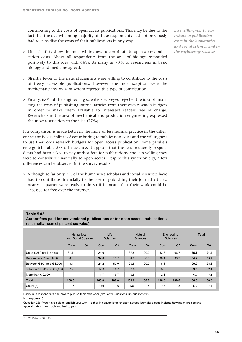contributing to the costs of open access publications. This may be due to the fact that the overwhelming majority of these respondents had not previously had to subsidise the costs of their publications in any way<sup>1</sup>.

- > Life scientists show the most willingness to contribute to open access publication costs. Above all respondents from the area of biology responded positively to this idea with 64 %. As many as 70 % of researchers in basic biology and medicine agreed.
- > Slightly fewer of the natural scientists were willing to contribute to the costs of freely accessible publications. However, the most sceptical were the mathematicians, 89 % of whom rejected this type of contribution.
- > Finally, 65 % of the engineering scientists surveyed rejected the idea of financing the costs of publishing journal articles from their own research budgets in order to make them available to interested readers free of charge. Researchers in the area of mechanical and production engineering expressed the most reservation to the idea (77 %).

If a comparison is made between the more or less normal practice in the different scientific disciplines of contributing to publication costs and the willingness to use their own research budgets for open access publication, some parallels emerge (cf. Table 5.04). In essence, it appears that the less frequently respondents had been asked to pay author fees for publications, the less willing they were to contribute financially to open access. Despite this synchronicity, a few differences can be observed in the survey results:

> Although so far only 7 % of the humanities scholars and social scientists have had to contribute financially to the cost of publishing their journal articles, nearly a quarter were ready to do so if it meant that their work could be accessed for free over the internet.

#### *Less willingness to contribute to publication costs in the humanities and social sciences and in the engineering sciences*

#### **Table 5.03:**

**Author fees paid for conventional publications or for open access publications** (arithmetic mean of percentage value)

|                                             | <b>Humanities</b><br>Social Sciences<br>and |           | Life<br>Sciences |           | <b>Natural</b><br><b>Sciences</b> |           | Engineering-<br><b>Sciences</b> |           | <b>Total</b> |           |
|---------------------------------------------|---------------------------------------------|-----------|------------------|-----------|-----------------------------------|-----------|---------------------------------|-----------|--------------|-----------|
|                                             | Conv.                                       | <b>OA</b> | Conv.            | <b>OA</b> | Conv.                             | <b>OA</b> | Conv.                           | <b>OA</b> | Conv.        | <b>OA</b> |
| Up to $\in$ 250 per jl. article             | 81.1                                        |           | 24.0             |           | 37.8                              | 20.0      | 53.3                            | 66.7      | 35.1         | 21.4      |
| Between $\in$ 251 and $\in$ 500             | 8.3                                         |           | 37.8             | 16.7      | 34.0                              | 60.0      | 30.1                            | 33.3      | 34.2         | 35.7      |
| Between $\epsilon$ 501 and $\epsilon$ 1.000 | 8.4                                         |           | 24.2             | 50.0      | 20.5                              | 20.0      | 8.6                             |           | 20.2         | 28.6      |
| Between $€1,001$ and $€2,000$               | 2.2                                         |           | 12.3             | 16.7      | 7.3                               |           | 5.9                             |           | 9.3          | 7.1       |
| More than $\in$ 2.000                       |                                             |           | 1.7              | 16.7      | 0.5                               |           | 2.1                             |           | 1.2          | 7.1       |
| <b>Total</b>                                | 100.0                                       |           | 100.0            | 100.0     | 100.0                             | 100.0     | 100.0                           | 100.0     | 100.0        | 100.0     |
| Count (n)                                   | 16                                          |           | 179              | 6         | 136                               | 5         | 48                              | 3         | 379          | 14        |

Basis: 393 respondents had paid to publish their own work (filter after Question/Sub-question 22) No response: 0

Question 23: If you have paid to publish your work - either in conventional or open access journals: please indicate how many articles and approximately how much you had to pay.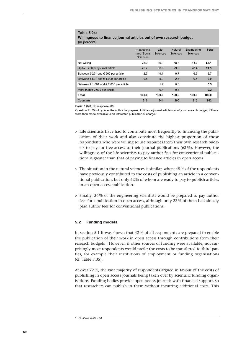#### **Table 5.04: Willingness to finance journal articles out of own research budget** (in percent)

|                                                           | <b>Humanities</b><br>and Social<br><b>Sciences</b> | Life<br><b>Sciences</b> | Natural<br>Sciences | Engineering<br><b>Sciences</b> | <b>Total</b> |
|-----------------------------------------------------------|----------------------------------------------------|-------------------------|---------------------|--------------------------------|--------------|
| Not willing                                               | 75.0                                               | 36.9                    | 58.3                | 64.7                           | 58.1         |
| Up to $\epsilon$ 250 per journal article                  | 22.2                                               | 36.9                    | 29.0                | 28.4                           | 29.3         |
| Between $\in$ 251 and $\in$ 500 per article               | 2.3                                                | 19.1                    | 9.7                 | 6.5                            | 9.7          |
| Between $\epsilon$ 501 and $\epsilon$ 1,000 per article   | 0.5                                                | 5.0                     | 2.4                 | 0.5                            | 2.2          |
| Between $\epsilon$ 1,001 and $\epsilon$ 2,000 per article |                                                    | 1.7                     | 0.3                 |                                | 0.5          |
| More than $\in$ 2,000 per article                         |                                                    | 0.4                     | 0.3                 |                                | 0.2          |
| Total                                                     | 100.0                                              | 100.0                   | 100.0               | 100.0                          | 100.0        |
| Count (n)                                                 | 216                                                | 241                     | 290                 | 215                            | 962          |

Basis: 1,028; No response: 66

Question 21: Would you as the author be prepared to finance journal articles out of your research budget, if these were then made available to an interested public free of charge?

- > Life scientists have had to contribute most frequently to financing the publication of their work and also constitute the highest proportion of those respondents who were willing to use resources from their own research budgets to pay for free access to their journal publications (63 %). However, the willingness of the life scientists to pay author fees for conventional publications is greater than that of paying to finance articles in open access.
- > The situation in the natural sciences is similar, where 48 % of the respondents have previously contributed to the costs of publishing an article in a conventional publication, but only 42 % of whom are ready to pay to publish articles in an open access publication.
- > Finally, 36 % of the engineering scientists would be prepared to pay author fees for a publication in open access, although only 23 % of them had already paid author fees for conventional publications.

#### **5.2 Funding models**

In section 5.1 it was shown that 42 % of all respondents are prepared to enable the publication of their work in open access through contributions from their research budgets <sup>1</sup>. However, if other sources of funding were available, not surprisingly most respondents would prefer the costs to be transferred to third parties, for example their institutions of employment or funding organisations (cf. Table 5.05).

At over 72 %, the vast majority of respondents argued in favour of the costs of publishing in open access journals being taken over by scientific funding organisations. Funding bodies provide open access journals with financial support, so that researchers can publish in them without incurring additional costs. This

*<sup>1.</sup> Cf. above Table 5.04*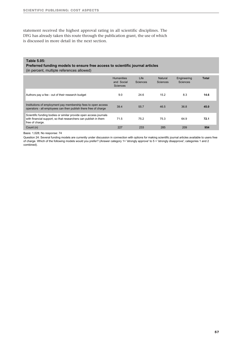statement received the highest approval rating in all scientific disciplines. The DFG has already taken this route through the publication grant, the use of which is discussed in more detail in the next section.

#### **Table 5.05:**

**Preferred funding models to ensure free access to scientific journal articles**

(in percent, multiple references allowed)

|                                                                                                                                                         | <b>Humanities</b><br>and Social<br><b>Sciences</b> | Life<br>Sciences | Natural<br><b>Sciences</b> | Engineering<br>Sciences | <b>Total</b> |
|---------------------------------------------------------------------------------------------------------------------------------------------------------|----------------------------------------------------|------------------|----------------------------|-------------------------|--------------|
| Authors pay a fee - out of their research budget                                                                                                        | 9.0                                                | 24.6             | 15.2                       | 8.3                     | 14.6         |
| Institutions of employment pay membership fees to open access<br>operators - all employees can then publish there free of charge                        | 39.4                                               | 55.7             | 46.5                       | 36.8                    | 45.0         |
| Scientific funding bodies or similar provide open access journals<br>with financial support, so that researchers can publish in them<br>free of charge. | 71.5                                               | 75.2             | 75.3                       | 64.9                    | 72.1         |
| Count (n)                                                                                                                                               | 227                                                | 233              | 285                        | 209                     | 954          |

Basis: 1,028; No response: 74

Question 24: Several funding models are currently under discussion in connection with options for making scientific journal articles available to users free of charge. Which of the following models would you prefer? (Answer category 1= 'strongly approve' to 5 = 'strongly disapprove'; categories 1 and 2 combined).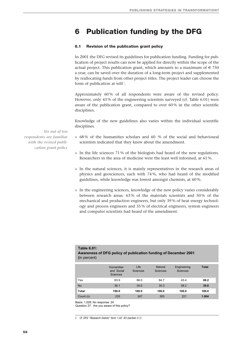## **6 Publication funding by the DFG**

#### **6.1 Revision of the publication grant policy**

In 2001 the DFG revised its guidelines for publication funding. Funding for publication of project results can now be applied for directly within the scope of the actual project. This publication grant, which amounts to a maximum of  $\in 750$ a year, can be saved over the duration of a long-term project and supplemented by reallocating funds from other project titles. The project leader can choose the form of publication at will  $\mathfrak{t}$ .

Approximately 60% of all respondents were aware of the revised policy. However, only 43 % of the engineering scientists surveyed (cf. Table 6.01) were aware of the publication grant, compared to over 60 % in the other scientific disciplines.

Knowledge of the new guidelines also varies within the individual scientific disciplines.

*Six out of ten respondents are familiar with the revised publication grant policy*

- > 68 % of the humanities scholars and 60 % of the social and behavioural scientists indicated that they knew about the amendment.
- $>$  In the life sciences 71% of the biologists had heard of the new regulations. Researchers in the area of medicine were the least well informed, at 61 %.
- > In the natural sciences, it is mainly representatives in the research areas of physics and geosciences, each with 74 %, who had heard of the modified guidelines, while knowledge was lowest amongst chemists, at 60 %.
- > In the engineering sciences, knowledge of the new policy varies considerably between research areas: 63 % of the materials scientists and 50 % of the mechanical and production engineers, but only 39 % of heat energy technology and process engineers and 35 % of electrical engineers, system engineers and computer scientists had heard of the amendment.

| <b>Table 6.01:</b>                                              |
|-----------------------------------------------------------------|
| Awareness of DFG policy of publication funding of December 2001 |
| (in percent)                                                    |

|              | <b>Humanities</b><br>and Social<br><b>Sciences</b> | Life<br>Sciences | Natural<br><b>Sciences</b> | Engineering<br>Sciences | <b>Total</b> |
|--------------|----------------------------------------------------|------------------|----------------------------|-------------------------|--------------|
| Yes          | 63.9                                               | 66.0             | 64.7                       | 43.4                    | 60.2         |
| <b>No</b>    | 36.1                                               | 34.0             | 35.3                       | 56.2                    | 39.8         |
| <b>Total</b> | 100.0                                              | 100.0            | 100.0                      | 100.0                   | 100.0        |
| Count (n)    | 233                                                | 247              | 303                        | 221                     | 1.004        |

Basis: 1,028; No response: 24

Question 27: Are you aware of this policy?

*1. Cf. DFG "Research Grants" form 1.02 -II3 (section 5.1)*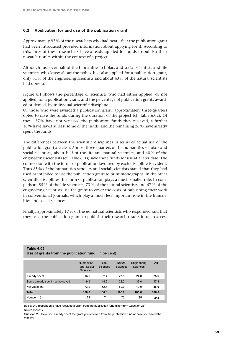#### **6.2 Application for and use of the publication grant**

Approximately 97 % of the researchers who had heard that the publication grant had been introduced provided information about applying for it. According to this, 46 % of these researchers have already applied for funds to publish their research results within the context of a project.

Although just over half of the humanities scholars and social scientists and life scientists who knew about the policy had also applied for a publication grant, only 31 % of the engineering scientists and about 43 % of the natural scientists had done so.

Figure 6.1 shows the percentage of scientists who had either applied, or not applied, for a publication grant, and the percentage of publication grants awarded or denied, by individual scientific discipline.

Of those who were awarded a publication grant, approximately three-quarters opted to save the funds during the duration of the project (cf. Table 6.02). Of these, 57 % have not yet used the publication funds they received, a further 18 % have saved at least some of the funds, and the remaining 26 % have already spent the funds.

The differences between the scientific disciplines in terms of actual use of the publication grant are clear. Almost three-quarters of the humanities scholars and social scientists, about half of the life and natural scientists, and 40 % of the engineering scientists (cf. Table 6.03) save these funds for use at a later date. The connection with the forms of publication favoured by each discipline is evident. Thus 85 % of the humanities scholars and social scientists stated that they had used or intended to use the publication grant to print monographs; in the other scientific disciplines this form of publication plays a much smaller role. In comparison, 85 % of the life scientists, 73 % of the natural scientists and 67 % of the engineering scientists use the grant to cover the costs of publishing their work in conventional journals, which play a much less important role in the humanities and social sciences.

Finally, approximately 17 % of the 66 natural scientists who responded said that they used the publication grant to publish their research results in open access

| Use of grants from the publication fund (in percent) |                                                    |                  |                            |                         |       |  |
|------------------------------------------------------|----------------------------------------------------|------------------|----------------------------|-------------------------|-------|--|
|                                                      | <b>Humanities</b><br>and Social<br><b>Sciences</b> | Life<br>Sciences | Natural<br><b>Sciences</b> | Engineering<br>Sciences | All   |  |
| Already spent                                        | 16.9                                               | 32.4             | 27.8                       | 24.0                    | 25.6  |  |
| Some already spent - some saved                      | 9.9                                                | 14.9             | 22.2                       | 36.0                    | 17.8  |  |
| Not yet spent                                        | 73.2                                               | 52.7             | 50.0                       | 40.0                    | 56.6  |  |
| <b>Total</b>                                         | 100.0                                              | 100.0            | 100.0                      | 100.0                   | 100.0 |  |
| Number (n)                                           | 71                                                 | 74               | 72                         | 25                      | 242   |  |

## **Table 6.02:**

Basis: 249 respondents have received a grant from the publication fund (filter from Question 28) No response: 7

Question 29: Have you already spent the grant you received from the publication fund or have you saved the money?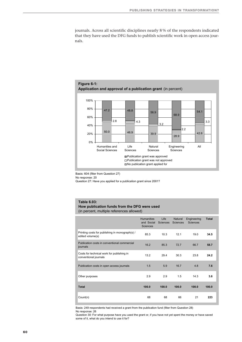journals. Across all scientific disciplines nearly 8 % of the respondents indicated that they have used the DFG funds to publish scientific work in open access journals.



Basis: 604 (filter from Question 27)

No response: 20

Question 27: Have you applied for a publication grant since 2001?

#### **Table 6.03: How publication funds from the DFG were used** (in percent, multiple references allowed)

|                                                                     | <b>Humanities</b><br>and Social<br><b>Sciences</b> | Life<br><b>Sciences</b> | Natural<br><b>Sciences</b> | Engineering<br><b>Sciences</b> | <b>Total</b> |
|---------------------------------------------------------------------|----------------------------------------------------|-------------------------|----------------------------|--------------------------------|--------------|
| Printing costs for publishing in monograph(s) /<br>edited volume(s) | 85.3                                               | 10.3                    | 12.1                       | 19.0                           | 34.5         |
| Publication costs in conventional commercial<br>journals            | 16.2                                               | 85.3                    | 72.7                       | 66.7                           | 58.7         |
| Costs for technical work for publishing in<br>conventional journals | 13.2                                               | 29.4                    | 30.3                       | 23.8                           | 24.2         |
| Publication costs in open access journals                           | 1.5                                                | 5.9                     | 16.7                       | 4.8                            | 7.6          |
| Other purposes                                                      | 2.9                                                | 2.9                     | 1.5                        | 14.3                           | 3.6          |
| <b>Total</b>                                                        | 100.0                                              | 100.0                   | 100.0                      | 100.0                          | 100.0        |
| Count(n)                                                            | 68                                                 | 68                      | 66                         | 21                             | 223          |

Basis: 249 respondents had received a grant from the publication fund (filter from Question 28) No response: 26

Question 30: For what purpose have you used the grant or, if you have not yet spent the money or have saved some of it, what do you intend to use it for?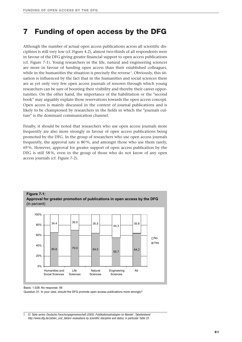## **7 Funding of open access by the DFG**

Although the number of actual open access publications across all scientific disciplines is still very low (cf. Figure 4.2), almost two-thirds of all respondents were in favour of the DFG giving greater financial support to open access publications (cf. Figure 7-1). Young researchers in the life, natural and engineering sciences are more in favour of funding open access than their established colleagues, while in the humanities the situation is precisely the reverse  $^{\textrm{\tiny{\textup{1}}}}$  . Obviously, this situation is influenced by the fact that in the humanities and social sciences there are as yet only very few open access journals of renown through which young researchers can be sure of boosting their visibility and thereby their career opportunities. On the other hand, the importance of the habilitation or the "second book" may arguably explain those reservations towards the open access concept. Open access is mainly discussed in the context of journal publications and is likely to be championed by researchers in the fields in which the "journals culture" is the dominant communication channel.

Finally, it should be noted that researchers who use open access journals more frequently are also more strongly in favour of open access publications being promoted by the DFG. In the group of researchers who use open access journals frequently, the approval rate is 80 %, and amongst those who use them rarely, 69 %. However, approval for greater support of open access publication by the DFG is still 58 %, even in the group of those who do not know of any open access journals (cf. Figure 7-2).



Basis: 1.028; No response: 56

Question 31: In your view, should the DFG promote open access publications more strongly?

*<sup>1.</sup> Cf. Table series: Deutsche Forschungsgemeinschaft (2005). Publikationsstrategien im Wandel . Tabellenband: http://www.dfg.de/zahlen\_und\_fakten/ evaluations by scientific discipline and status, in particular Table 25*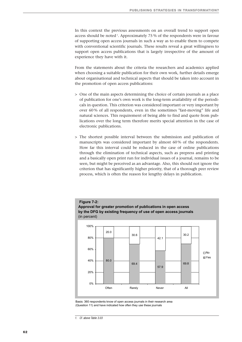In this context the previous assessments on an overall trend to support open access should be noted <sup>1</sup>. Approximately 75 % of the respondents were in favour of supporting open access journals in such a way as to enable them to compete with conventional scientific journals. These results reveal a great willingness to support open access publications that is largely irrespective of the amount of experience they have with it.

From the statements about the criteria the researchers and academics applied when choosing a suitable publication for their own work, further details emerge about organisational and technical aspects that should be taken into account in the promotion of open access publications:

- > One of the main aspects determining the choice of certain journals as a place of publication for one's own work is the long-term availability of the periodicals in question. This criterion was considered important or very important by over 60 % of all respondents, even in the sometimes "fast-moving" life and natural sciences. This requirement of being able to find and quote from publications over the long term therefore merits special attention in the case of electronic publications.
- > The shortest possible interval between the submission and publication of manuscripts was considered important by almost 60 % of the respondents. How far this interval could be reduced in the case of online publications through the elimination of technical aspects, such as prepress and printing and a basically open print run for individual issues of a journal, remains to be seen, but might be perceived as an advantage. Also, this should not ignore the criterion that has significantly higher priority, that of a thorough peer review process, which is often the reason for lengthy delays in publication.



Basis: 360 respondents know of open access journals in their research area (Question 11) and have indicated how often they use these journals

*<sup>1.</sup> Cf. above Table 3.03*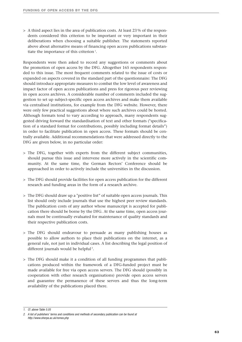> A third aspect lies in the area of publication costs. At least 23 % of the respondents considered this criterion to be important or very important in their deliberations when choosing a suitable publisher. The statements reported above about alternative means of financing open access publications substantiate the importance of this criterion<sup>1</sup>.

Respondents were then asked to record any suggestions or comments about the promotion of open access by the DFG. Altogether 165 respondents responded to this issue. The most frequent comments related to the issue of costs or expanded on aspects covered in the standard part of the questionnaire: The DFG should introduce appropriate measures to combat the low level of awareness and impact factor of open access publications and press for rigorous peer reviewing in open access archives. A considerable number of comments included the suggestion to set up subject-specific open access archives and make them available via centralised institutions, for example from the DFG website. However, there were only few practical suggestions about where such archives could be hosted. Although formats tend to vary according to approach, many respondents suggested driving forward the standardisation of text and other formats ("specification of a standard format for contributions, possibly including format details") in order to facilitate publication in open access. These formats should be centrally available. Additional recommendations that were addressed directly to the DFG are given below, in no particular order:

- > The DFG, together with experts from the different subject communities, should pursue this issue and intervene more actively in the scientific community. At the same time, the German Rectors' Conference should be approached in order to actively include the universities in the discussion.
- > The DFG should provide facilities for open access publication for the different research and funding areas in the form of a research archive.
- > The DFG should draw up a "positive list" of suitable open access journals. This list should only include journals that use the highest peer review standards. The publication costs of any author whose manuscript is accepted for publication there should be borne by the DFG. At the same time, open access journals must be continually evaluated for maintenance of quality standards and their respective publication costs.
- > The DFG should endeavour to persuade as many publishing houses as possible to allow authors to place their publications on the internet, as a general rule, not just in individual cases. A list describing the legal position of different journals would be helpful<sup>2</sup>.
- > The DFG should make it a condition of all funding programmes that publications produced within the framework of a DFG-funded project must be made available for free via open access servers. The DFG should (possibly in cooperation with other research organisations) provide open access servers and guarantee the permanence of these servers and thus the long-term availability of the publications placed there.

*1. Cf. above Table 5.05*

*<sup>2.</sup> A list of publishers' terms and conditions and methods of secondary publication can be found at http://www.sherpa.ac.uk/romeo.php*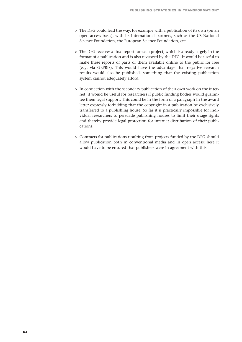- > The DFG could lead the way, for example with a publication of its own (on an open access basis), with its international partners, such as the US National Science Foundation, the European Science Foundation, etc.
- > The DFG receives a final report for each project, which is already largely in the format of a publication and is also reviewed by the DFG. It would be useful to make these reports or parts of them available online to the public for free (e. g. via GEPRIS). This would have the advantage that negative research results would also be published, something that the existing publication system cannot adequately afford.
- > In connection with the secondary publication of their own work on the internet, it would be useful for researchers if public funding bodies would guarantee them legal support. This could be in the form of a paragraph in the award letter expressly forbidding that the copyright in a publication be exclusively transferred to a publishing house. So far it is practically impossible for individual researchers to persuade publishing houses to limit their usage rights and thereby provide legal protection for internet distribution of their publications.
- > Contracts for publications resulting from projects funded by the DFG should allow publication both in conventional media and in open access; here it would have to be ensured that publishers were in agreement with this.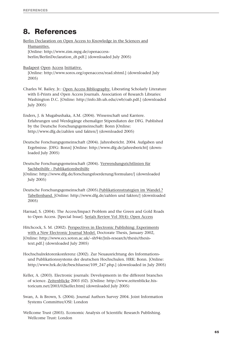## **8. References**

Berlin Declaration on Open Access to Knowledge in the Sciences and Humanities. [Online: http://www.zim.mpg.de/openaccessberlin/BerlinDeclaration\_dt.pdf.] (downloaded July 2005) Budapest Open Access Initiative. [Online: http://www.soros.org/openaccess/read.shtml.] (downloaded July 2005) Charles W. Bailey, Jr.: Open Access Bibliography. Liberating Scholarly Literature with E-Prints and Open Access Journals. Association of Research Libraries: Washington D.C. [Online: http://info.lib.uh.edu/cwb/oab.pdf.] (downloaded July 2005)

Enders, J. & Mugabushaka, A.M. (2004). Wissenschaft und Karriere. Erfahrungen und Werdegänge ehemaliger Stipendiaten der DFG. Published by the Deutsche Forschungsgemeinschaft: Bonn [Online: http://www.dfg.de/zahlen und fakten/] (downloaded 2005)

Deutsche Forschungsgemeinschaft (2004). Jahresbericht. 2004. Aufgaben und Ergebnisse. [DFG: Bonn] [Online: http://www.dfg.de/jahresbericht] (downloaded July 2005)

Deutsche Forschungsgemeinschaft (2004). Verwendungsrichtlinien für Sachbeihilfe - Publikationsbeihilfe

[Online: http://www.dfg.de/forschungsfoerderung/formulare/] (downloaded July 2005)

Deutsche Forschungsgemeinschaft (2005).Publikationsstrategien im Wandel.? Tabellenband. [Online: http://www.dfg.de/zahlen und fakten/] (downloaded 2005)

Harnad, S. (2004). The Access/Impact Problem and the Green and Gold Roads to Open Access. [Special Issue]. Serials Review Vol 30(4): Open Access

Hitchcock, S. M. (2002). Perspectives in Electronic Publishing: Experiments with a New Electronic Journal Model. Doctorate Thesis, January 2002, [Online: http://www.ecs.soton.ac.uk/~sh94r/Jnls-research/thesis/thesistext.pdf.] (downloaded July 2005)

Hochschulrektorenkonferenz (2002). Zur Neuausrichtung des Informationsund Publikationssystems der deutschen Hochschulen. HRK: Bonn. [Online: http://www.hrk.de/de/beschluesse/109\_247.php.] (downloaded in July 2005)

Keller, A. (2003). Electronic journals: Developments in the different branches of science. Zeitenblicke 2003 (02). [Online: http://www.zeitenblicke.historicum.net/2003/02keller.htm] (downloaded July 2005)

Swan, A. & Brown, S. (2004). Journal Authors Survey 2004. Joint Information Systems Committee/OSI: London

Wellcome Trust (2003). Economic Analysis of Scientific Research Publishing. Wellcome Trust: London